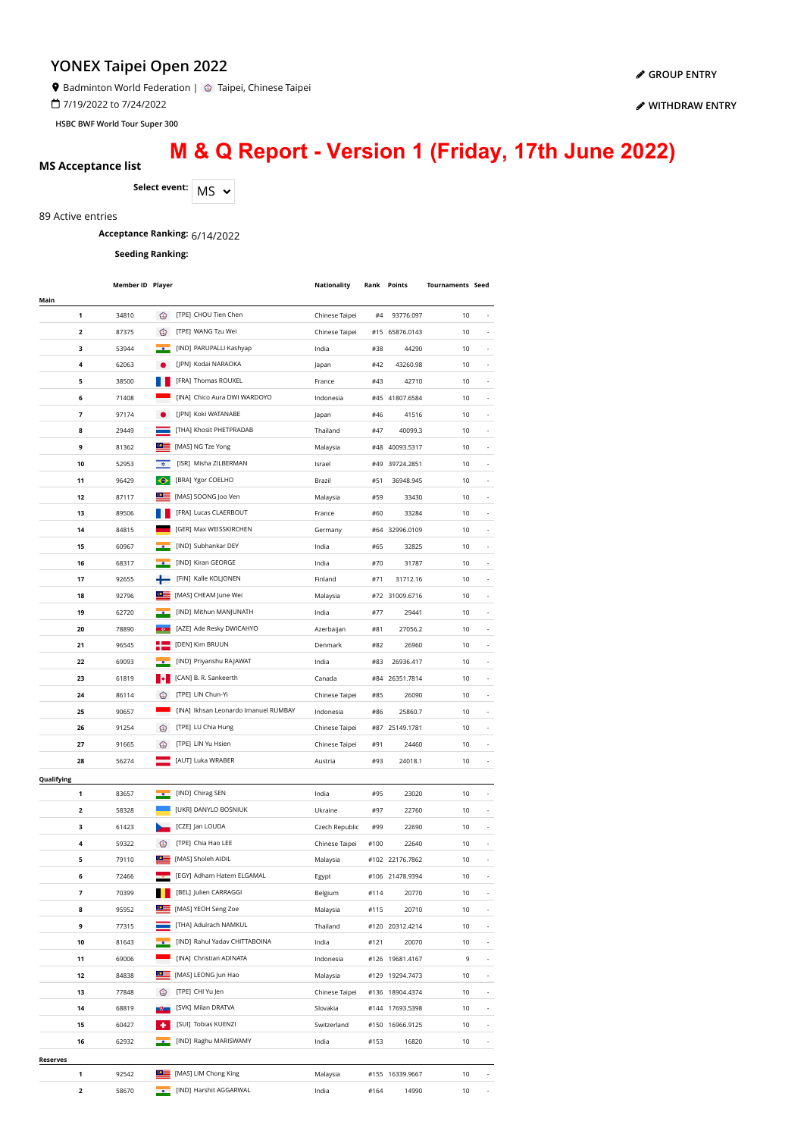Badminton World Federation | 2 Taipei, Chinese Taipei

7/19/2022 to 7/24/2022

**HSBC BWF World Tour Super 300**

# **M & Q Report - Version 1 (Friday, 17th June 2022)**

**MS Acceptance list**

Select event: MS  $\sim$ 

89 Active entries

## **Acceptance Ranking:** 6/14/2022

**Seeding Ranking:**

|            | <b>Member ID Player</b> |                                    |                                      | Nationality    |      | <b>Rank Points</b> | <b>Tournaments Seed</b> |                          |
|------------|-------------------------|------------------------------------|--------------------------------------|----------------|------|--------------------|-------------------------|--------------------------|
| Main       |                         |                                    |                                      |                |      |                    |                         |                          |
| 1          | 34810                   | ⊛                                  | [TPE] CHOU Tien Chen                 | Chinese Taipei | #4   | 93776.097          | 10                      |                          |
| 2          | 87375                   | ☺                                  | [TPE] WANG Tzu Wei                   | Chinese Taipei |      | #15 65876.0143     | 10                      |                          |
| з          | 53944                   |                                    | [IND] PARUPALLI Kashyap              | India          | #38  | 44290              | 10                      |                          |
| 4          | 62063                   |                                    | [JPN] Kodai NARAOKA                  | Japan          | #42  | 43260.98           | 10                      |                          |
| 5          | 38500                   |                                    | [FRA] Thomas ROUXEL                  | France         | #43  | 42710              | 10                      |                          |
| 6          | 71408                   |                                    | [INA] Chico Aura DWI WARDOYO         | Indonesia      |      | #45 41807.6584     | 10                      |                          |
| 7          | 97174                   |                                    | [JPN] Koki WATANABE                  | Japan          | #46  | 41516              | 10                      |                          |
| 8          | 29449                   | <b>Contract</b>                    | [THA] Khosit PHETPRADAB              | Thailand       | #47  | 40099.3            | 10                      |                          |
| 9          | 81362                   | $\bullet \equiv$                   | [MAS] NG Tze Yong                    | Malaysia       | #48  | 40093.5317         | 10                      |                          |
| 10         | 52953                   | $\langle \hat{\mathbf{u}} \rangle$ | [ISR] Misha ZILBERMAN                | Israel         | #49  | 39724.2851         | 10                      |                          |
|            |                         |                                    |                                      |                |      |                    |                         |                          |
| 11         | 96429                   | $\bullet$<br>$\bullet \equiv$      | [BRA] Ygor COELHO                    | Brazil         | #51  | 36948.945          | 10                      |                          |
| 12         | 87117                   |                                    | [MAS] SOONG Joo Ven                  | Malaysia       | #59  | 33430              | 10                      | $\overline{\phantom{a}}$ |
| 13         | 89506                   |                                    | [FRA] Lucas CLAERBOUT                | France         | #60  | 33284              | 10                      | $\overline{\phantom{a}}$ |
| 14         | 84815                   |                                    | [GER] Max WEISSKIRCHEN               | Germany        |      | #64 32996.0109     | 10                      |                          |
| 15         | 60967                   |                                    | [IND] Subhankar DEY                  | India          | #65  | 32825              | 10                      |                          |
| 16         | 68317                   |                                    | [IND] Kiran GEORGE                   | India          | #70  | 31787              | 10                      |                          |
| 17         | 92655                   |                                    | [FIN] Kalle KOLJONEN                 | Finland        | #71  | 31712.16           | 10                      |                          |
| 18         | 92796                   | $\circ \equiv$                     | [MAS] CHEAM June Wei                 | Malaysia       |      | #72 31009.6716     | 10                      |                          |
| 19         | 62720                   |                                    | [IND] Mithun MANJUNATH               | India          | #77  | 29441              | 10                      |                          |
| 20         | 78890                   |                                    | [AZE] Ade Resky DWICAHYO             | Azerbaijan     | #81  | 27056.2            | 10                      |                          |
| 21         | 96545                   |                                    | [DEN] Kim BRUUN                      | Denmark        | #82  | 26960              | 10                      |                          |
| 22         | 69093                   |                                    | [IND] Priyanshu RAJAWAT              | India          | #83  | 26936.417          | 10                      |                          |
| 23         | 61819                   |                                    | [CAN] B. R. Sankeerth                | Canada         |      | #84 26351.7814     | 10                      | $\overline{\phantom{a}}$ |
| 24         | 86114                   | ∞                                  | [TPE] LIN Chun-Yi                    | Chinese Taipei | #85  | 26090              | 10                      | $\overline{\phantom{a}}$ |
| 25         | 90657                   |                                    | [INA] Ikhsan Leonardo Imanuel RUMBAY | Indonesia      | #86  | 25860.7            | 10                      | $\overline{\phantom{a}}$ |
| 26         | 91254                   | ∙⊗                                 | [TPE] LU Chia Hung                   | Chinese Taipei |      | #87 25149.1781     | 10                      | $\overline{\phantom{a}}$ |
| 27         | 91665                   | ⊙                                  | [TPE] LIN Yu Hsien                   | Chinese Taipei | #91  | 24460              | 10                      |                          |
|            |                         |                                    | [AUT] Luka WRABER                    |                |      |                    |                         |                          |
| 28         | 56274                   |                                    |                                      | Austria        | #93  | 24018.1            | 10                      |                          |
| Qualifying |                         |                                    |                                      |                |      |                    |                         |                          |
| 1          | 83657                   |                                    | [IND] Chirag SEN                     | India          | #95  | 23020              | 10                      |                          |
| 2          | 58328                   |                                    | [UKR] DANYLO BOSNIUK                 | Ukraine        | #97  | 22760              | 10                      |                          |
| 3          | 61423                   |                                    | [CZE] Jan LOUDA                      | Czech Republic | #99  | 22690              | 10                      |                          |
| 4          | 59322                   | ⊛                                  | [TPE] Chia Hao LEE                   | Chinese Taipei | #100 | 22640              | 10                      |                          |
| 5          | 79110                   | $\circ \equiv$                     | [MAS] Sholeh AIDIL                   | Malaysia       |      | #102 22176.7862    | 10                      |                          |
| 6          | 72466                   |                                    | [EGY] Adham Hatem ELGAMAL            | Egypt          |      | #106 21478.9394    | 10                      |                          |
| 7          | 70399                   |                                    | <b>BELI</b> Julien CARRAGGI          | Belgium        | #114 | 20770              | 10                      |                          |
| 8          | 95952                   |                                    | [MAS] YEOH Seng Zoe                  | Malaysia       | #115 | 20710              | 10                      | $\overline{\phantom{a}}$ |
| 9          | 77315                   |                                    | [THA] Adulrach NAMKUL                | Thailand       |      | #120 20312.4214    | 10                      | $\overline{\phantom{a}}$ |
| 10         | 81643                   |                                    | [IND] Rahul Yadav CHITTABOINA        | India          | #121 | 20070              | 10                      | $\overline{\phantom{a}}$ |
| 11         | 69006                   |                                    | [INA] Christian ADINATA              | Indonesia      |      | #126 19681.4167    | 9                       | $\overline{\phantom{a}}$ |
| 12         | 84838                   | $\circ$ $\equiv$                   | [MAS] LEONG Jun Hao                  | Malaysia       |      | #129 19294.7473    | 10                      |                          |
| 13         | 77848                   | ⊛                                  | [TPE] CHI Yu Jen                     | Chinese Taipei |      | #136 18904.4374    | 10                      | ÷,                       |
| 14         | 68819                   |                                    | [SVK] Milan DRATVA                   | Slovakia       |      | #144 17693.5398    | 10                      |                          |
| 15         | 60427                   |                                    | [SUI] Tobias KUENZI                  | Switzerland    |      | #150 16966.9125    | 10                      |                          |
| 16         | 62932                   |                                    | [IND] Raghu MARISWAMY                | India          | #153 | 16820              | 10                      |                          |
|            |                         |                                    |                                      |                |      |                    |                         |                          |
| Reserves   |                         | $\bullet \equiv$                   |                                      |                |      |                    |                         |                          |
| 1          | 92542                   |                                    | [MAS] LIM Chong King                 | Malaysia       |      | #155 16339.9667    | 10                      |                          |
| 2          | 58670                   |                                    | [IND] Harshit AGGARWAL               | India          | #164 | 14990              | 10                      | $\overline{\phantom{a}}$ |

**[WITHDRAW ENTRY](https://bwf.tournamentsoftware.com/sport/entry_management.aspx?id=1740FB7C-1DA6-41A8-BBE8-A719DCF31AEF)**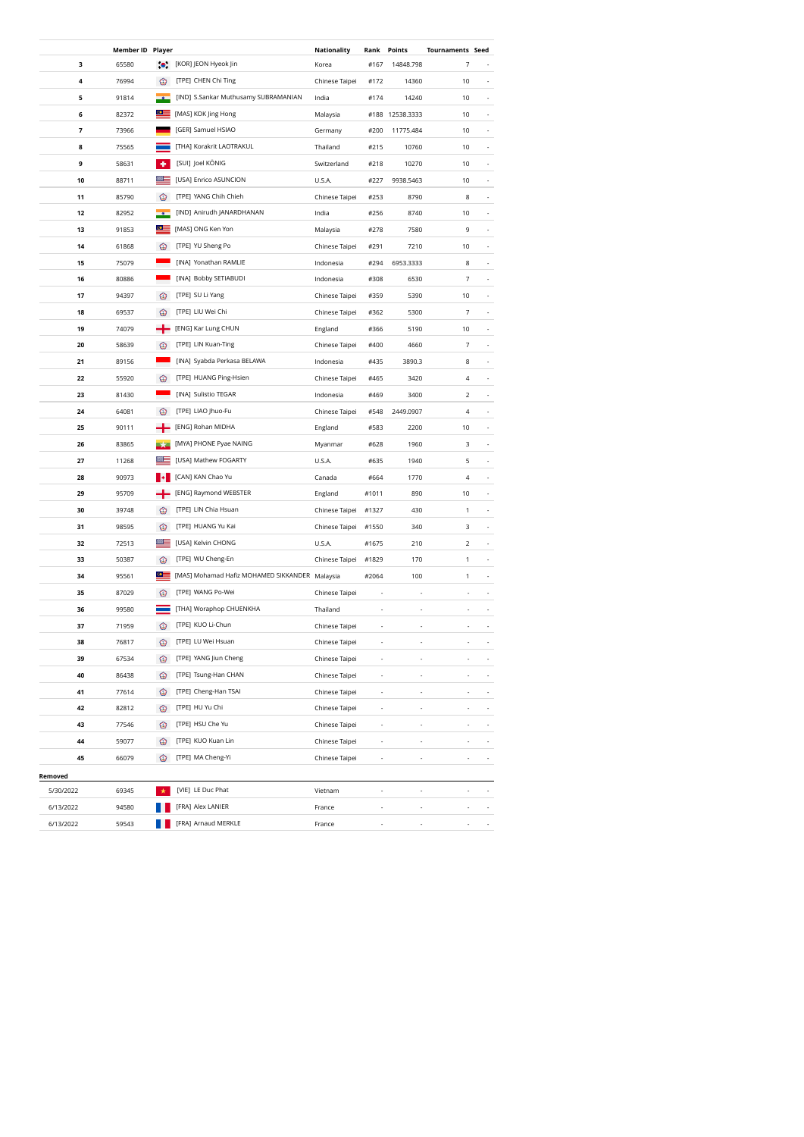|           | <b>Member ID Player</b> |                    |                                                | Nationality    | Rank           | Points                   | <b>Tournaments Seed</b>                    |
|-----------|-------------------------|--------------------|------------------------------------------------|----------------|----------------|--------------------------|--------------------------------------------|
| 3         | 65580                   |                    | ්ෙි [KOR] JEON Hyeok Jin                       | Korea          | #167           | 14848.798                | 7                                          |
| 4         | 76994                   | ⊛                  | [TPE] CHEN Chi Ting                            | Chinese Taipei | #172           | 14360                    | 10                                         |
| 5         | 91814                   |                    | [IND] S.Sankar Muthusamy SUBRAMANIAN           | India          | #174           | 14240                    | 10                                         |
| 6         | 82372                   | $\subseteq$        | [MAS] KOK Jing Hong                            | Malaysia       | #188           | 12538.3333               | 10                                         |
| 7         | 73966                   |                    | [GER] Samuel HSIAO                             | Germany        | #200           | 11775.484                | 10<br>٠                                    |
| 8         | 75565                   |                    | [THA] Korakrit LAOTRAKUL                       | Thailand       | #215           | 10760                    | 10                                         |
| 9         | 58631                   | ٠                  | [SUI] Joel KÖNIG                               | Switzerland    | #218           | 10270                    | 10                                         |
| 10        | 88711                   | ≋≡                 | [USA] Enrico ASUNCION                          | U.S.A.         | #227           | 9938.5463                | 10                                         |
| 11        | 85790                   | ☜                  | [TPE] YANG Chih Chieh                          | Chinese Taipei | #253           | 8790                     | 8                                          |
| 12        | 82952                   |                    | [IND] Anirudh JANARDHANAN                      | India          | #256           | 8740                     | 10                                         |
| 13        | 91853                   | $\bullet$ $\equiv$ | [MAS] ONG Ken Yon                              | Malaysia       | #278           | 7580                     | 9                                          |
| 14        | 61868                   | ◈                  | [TPE] YU Sheng Po                              | Chinese Taipei | #291           | 7210                     | 10                                         |
| 15        | 75079                   |                    | [INA] Yonathan RAMLIE                          | Indonesia      | #294           | 6953.3333                | 8                                          |
| 16        | 80886                   |                    | [INA] Bobby SETIABUDI                          | Indonesia      | #308           | 6530                     | 7                                          |
| 17        | 94397                   | ⊛                  | [TPE] SU Li Yang                               | Chinese Taipei | #359           | 5390                     | 10                                         |
| 18        | 69537                   | ⊛                  | [TPE] LIU Wei Chi                              | Chinese Taipei | #362           | 5300                     | 7<br>$\overline{\phantom{a}}$              |
| 19        | 74079                   |                    | [ENG] Kar Lung CHUN                            | England        | #366           | 5190                     | 10<br>$\overline{\phantom{a}}$             |
| 20        | 58639                   | €                  | [TPE] LIN Kuan-Ting                            | Chinese Taipei | #400           | 4660                     | 7<br>$\sim$                                |
| 21        | 89156                   |                    | [INA] Syabda Perkasa BELAWA                    | Indonesia      | #435           | 3890.3                   | 8<br>$\overline{\phantom{a}}$              |
| 22        | 55920                   | ⊛                  | [TPE] HUANG Ping-Hsien                         | Chinese Taipei | #465           | 3420                     | 4<br>÷,                                    |
| 23        | 81430                   |                    | [INA] Sulistio TEGAR                           | Indonesia      | #469           | 3400                     | 2                                          |
|           |                         | ∞                  | [TPE] LIAO Jhuo-Fu                             |                |                |                          |                                            |
| 24        | 64081                   |                    | [ENG] Rohan MIDHA                              | Chinese Taipei | #548           | 2449.0907                | 4                                          |
| 25        | 90111                   |                    |                                                | England        | #583           | 2200                     | 10                                         |
| 26        | 83865                   |                    | [MYA] PHONE Pyae NAING                         | Myanmar        | #628           | 1960                     | 3                                          |
| 27        | 11268                   |                    | [USA] Mathew FOGARTY                           | U.S.A.         | #635           | 1940                     | 5                                          |
| 28        | 90973                   |                    | [CAN] KAN Chao Yu                              | Canada         | #664           | 1770                     | 4                                          |
| 29        | 95709                   |                    | [ENG] Raymond WEBSTER                          | England        | #1011          | 890                      | 10                                         |
| 30        | 39748                   | ◉                  | [TPE] LIN Chia Hsuan                           | Chinese Taipei | #1327          | 430                      | 1                                          |
| 31        | 98595                   | ☺                  | [TPE] HUANG Yu Kai                             | Chinese Taipei | #1550          | 340                      | 3<br>$\overline{\phantom{a}}$              |
| 32        | 72513                   | ≝                  | [USA] Kelvin CHONG                             | U.S.A.         | #1675          | 210                      | $\overline{2}$<br>$\overline{\phantom{a}}$ |
| 33        | 50387                   | ◉                  | [TPE] WU Cheng-En                              | Chinese Taipei | #1829          | 170                      | 1<br>$\overline{\phantom{a}}$              |
| 34        | 95561                   | $\circ$            | [MAS] Mohamad Hafiz MOHAMED SIKKANDER Malaysia |                | #2064          | 100                      | 1<br>$\overline{\phantom{a}}$              |
| 35        | 87029                   | ⊛                  | [TPE] WANG Po-Wei                              | Chinese Taipei |                |                          |                                            |
| 36        | 99580                   |                    | [THA] Woraphop CHUENKHA                        | Thailand       |                |                          |                                            |
| 37        | 71959                   | ∙                  | [TPE] KUO Li-Chun                              | Chinese Taipei |                |                          |                                            |
| 38        | 76817                   | ⊛                  | [TPE] LU Wei Hsuan                             | Chinese Taipei |                |                          |                                            |
| 39        | 67534                   | ☺                  | [TPE] YANG Jiun Cheng                          | Chinese Taipei | ÷,             | $\overline{\phantom{a}}$ |                                            |
| 40        | 86438                   | ◉                  | [TPE] Tsung-Han CHAN                           | Chinese Taipei | i,             |                          |                                            |
| 41        | 77614                   | ◉                  | [TPE] Cheng-Han TSAI                           | Chinese Taipei |                |                          |                                            |
| 42        | 82812                   | ☺                  | [TPE] HU Yu Chi                                | Chinese Taipei | ÷              | $\overline{\phantom{a}}$ |                                            |
| 43        | 77546                   | ◉                  | [TPE] HSU Che Yu                               | Chinese Taipei | ٠              | ÷                        | ۰                                          |
| 44        | 59077                   | ⊛                  | [TPE] KUO Kuan Lin                             | Chinese Taipei | $\overline{a}$ | $\overline{\phantom{a}}$ | $\overline{a}$<br>$\overline{\phantom{a}}$ |
| 45        | 66079                   | ∙                  | [TPE] MA Cheng-Yi                              | Chinese Taipei | $\overline{a}$ | $\overline{\phantom{a}}$ | $\overline{a}$<br>$\overline{\phantom{a}}$ |
| Removed   |                         |                    |                                                |                |                |                          |                                            |
| 5/30/2022 | 69345                   |                    | [VIE] LE Duc Phat                              | Vietnam        | ÷,             | ÷,                       | ÷,<br>$\sim$                               |
| 6/13/2022 | 94580                   |                    | [FRA] Alex LANIER                              | France         | ÷,             | ÷,                       | ×,<br>$\overline{\phantom{a}}$             |
| 6/13/2022 | 59543                   |                    | [FRA] Arnaud MERKLE                            | France         | i,             |                          | i,<br>$\overline{\phantom{a}}$             |
|           |                         |                    |                                                |                |                |                          |                                            |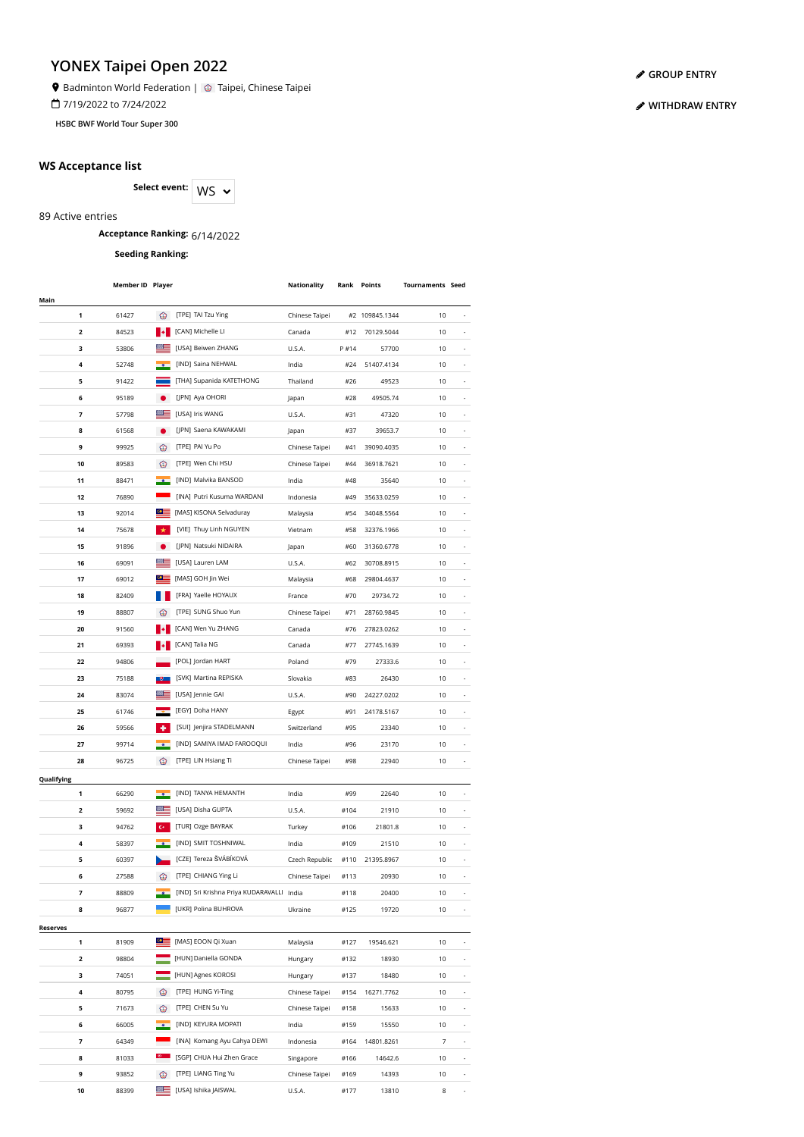Badminton World Federation | 3 Taipei, Chinese Taipei

7/19/2022 to 7/24/2022

**HSBC BWF World Tour Super 300**

### **WS Acceptance list**

Select event: WS  $\sim$ 

89 Active entries

## **Acceptance Ranking:** 6/14/2022

**Seeding Ranking:**

|               | <b>Member ID Player</b> |                  |                                           | Nationality    |      | Rank Points    | <b>Tournaments Seed</b> |                          |
|---------------|-------------------------|------------------|-------------------------------------------|----------------|------|----------------|-------------------------|--------------------------|
| Main          |                         |                  |                                           |                |      |                |                         |                          |
| 1             | 61427                   | ⊛                | [TPE] TAI Tzu Ying                        | Chinese Taipei |      | #2 109845.1344 | 10                      |                          |
| 2             | 84523                   | ∎∙               | [CAN] Michelle LI                         | Canada         | #12  | 70129.5044     | 10                      |                          |
| з             | 53806                   |                  | [USA] Beiwen ZHANG                        | U.S.A.         | P#14 | 57700          | 10                      |                          |
| 4             | 52748                   |                  | [IND] Saina NEHWAL                        | India          | #24  | 51407.4134     | 10                      |                          |
| 5             | 91422                   |                  | [THA] Supanida KATETHONG                  | Thailand       | #26  | 49523          | 10                      |                          |
| 6             | 95189                   |                  | [JPN] Aya OHORI                           | Japan          | #28  | 49505.74       | 10                      | ٠                        |
| 7             | 57798                   |                  | [USA] Iris WANG                           | U.S.A.         | #31  | 47320          | 10                      | $\overline{\phantom{a}}$ |
| 8             | 61568                   |                  | [JPN] Saena KAWAKAMI                      | Japan          | #37  | 39653.7        | 10                      | $\overline{\phantom{a}}$ |
| 9             | 99925                   | ☺                | [TPE] PAI Yu Po                           | Chinese Taipei | #41  | 39090.4035     | 10                      |                          |
| 10            | 89583                   | ∞                | [TPE] Wen Chi HSU                         | Chinese Taipei | #44  | 36918.7621     | 10                      |                          |
| 11            | 88471                   |                  | [IND] Malvika BANSOD                      | India          | #48  | 35640          | 10                      |                          |
| 12            | 76890                   |                  | [INA] Putri Kusuma WARDANI                | Indonesia      | #49  | 35633.0259     | 10                      |                          |
| 13            | 92014                   | $\circ$ $\equiv$ | [MAS] KISONA Selvaduray                   | Malaysia       | #54  | 34048.5564     | 10                      |                          |
| 14            | 75678                   |                  | [VIE] Thuy Linh NGUYEN                    | Vietnam        | #58  | 32376.1966     | 10                      |                          |
|               |                         |                  | [JPN] Natsuki NIDAIRA                     |                |      |                |                         |                          |
| 15            | 91896                   |                  |                                           | Japan          | #60  | 31360.6778     | 10                      |                          |
| 16            | 69091                   | $\bullet \equiv$ | [USA] Lauren LAM                          | U.S.A.         | #62  | 30708.8915     | 10                      |                          |
| 17            | 69012                   |                  | [MAS] GOH Jin Wei                         | Malaysia       | #68  | 29804.4637     | 10                      |                          |
| 18            | 82409                   |                  | [FRA] Yaelle HOYAUX                       | France         | #70  | 29734.72       | 10                      |                          |
| 19            | 88807                   |                  | [TPE] SUNG Shuo Yun                       | Chinese Taipei | #71  | 28760.9845     | 10                      |                          |
| 20            | 91560                   |                  | [CAN] Wen Yu ZHANG                        | Canada         | #76  | 27823.0262     | 10                      |                          |
| 21            | 69393                   |                  | [CAN] Talia NG                            | Canada         | #77  | 27745.1639     | 10                      |                          |
| 22            | 94806                   |                  | [POL] Jordan HART                         | Poland         | #79  | 27333.6        | 10                      |                          |
| 23            | 75188                   |                  | [SVK] Martina REPISKA                     | Slovakia       | #83  | 26430          | 10                      |                          |
| 24            | 83074                   |                  | [USA] Jennie GAI                          | U.S.A.         | #90  | 24227.0202     | 10                      |                          |
| 25            | 61746                   |                  | [EGY] Doha HANY                           | Egypt          | #91  | 24178.5167     | 10                      |                          |
| 26            | 59566                   |                  | [SUI] Jenjira STADELMANN                  | Switzerland    | #95  | 23340          | 10                      |                          |
| 27            | 99714                   |                  | [IND] SAMIYA IMAD FAROOQUI                | India          | #96  | 23170          | 10                      |                          |
| 28            | 96725                   | ☺                | [TPE] LIN Hsiang Ti                       | Chinese Taipei | #98  | 22940          | 10                      |                          |
| Qualifying    |                         |                  |                                           |                |      |                |                         |                          |
| 1             | 66290                   |                  | [IND] TANYA HEMANTH                       | India          | #99  | 22640          | 10                      |                          |
| 2             | 59692                   |                  | [USA] Disha GUPTA                         | U.S.A.         | #104 | 21910          | 10                      | ٠                        |
| з             | 94762                   |                  | [TUR] Ozge BAYRAK                         | Turkey         | #106 | 21801.8        | 10                      | ٠                        |
| 4             | 58397                   |                  | [IND] SMIT TOSHNIWAL                      | India          | #109 | 21510          | 10                      | $\overline{\phantom{a}}$ |
| 5             | 60397                   |                  | [CZE] Tereza ŠVÁBÍKOVÁ                    | Czech Republic | #110 | 21395.8967     | 10                      | $\overline{\phantom{a}}$ |
| 6             | 27588                   | ⊛                | [TPE] CHIANG Ying Li                      | Chinese Taipei | #113 | 20930          | 10                      | ٠                        |
| 7             | 88809                   |                  | [IND] Sri Krishna Priya KUDARAVALLI India |                | #118 | 20400          | 10                      |                          |
| 8             | 96877                   |                  | [UKR] Polina BUHROVA                      | Ukraine        | #125 | 19720          | 10                      |                          |
|               |                         |                  |                                           |                |      |                |                         |                          |
| Reserves<br>1 | 81909                   | $\bullet \equiv$ | [MAS] EOON Qi Xuan                        | Malaysia       | #127 | 19546.621      | 10                      |                          |
|               |                         |                  | [HUN] Daniella GONDA                      |                |      |                |                         |                          |
| 2             | 98804                   |                  |                                           | Hungary        | #132 | 18930          | 10                      |                          |
| 3             | 74051                   |                  | [HUN] Agnes KOROSI                        | Hungary        | #137 | 18480          | 10                      |                          |
| 4             | 80795                   | €                | [TPE] HUNG Yi-Ting                        | Chinese Taipei | #154 | 16271.7762     | 10                      |                          |
| 5             | 71673                   | ⊙                | [TPE] CHEN Su Yu                          | Chinese Taipei | #158 | 15633          | 10                      |                          |
| 6             | 66005                   |                  | [IND] KEYURA MOPATI                       | India          | #159 | 15550          | 10                      | ٠                        |
| 7             | 64349                   |                  | [INA] Komang Ayu Cahya DEWI               | Indonesia      | #164 | 14801.8261     | $\overline{7}$          | $\overline{\phantom{a}}$ |
| 8             | 81033                   | $\mathbb{G}$     | [SGP] CHUA Hui Zhen Grace                 | Singapore      | #166 | 14642.6        | 10                      | $\overline{\phantom{a}}$ |
| 9             | 93852                   | ♔                | [TPE] LIANG Ting Yu                       | Chinese Taipei | #169 | 14393          | 10                      | $\overline{\phantom{a}}$ |
| 10            | 88399                   |                  | [USA] Ishika JAISWAL                      | <b>U.S.A.</b>  | #177 | 13810          | 8                       | $\overline{\phantom{a}}$ |

#### **[GROUP ENTRY](https://bwf.tournamentsoftware.com/individual-entry/1740FB7C-1DA6-41A8-BBE8-A719DCF31AEF)**

#### **[WITHDRAW](https://bwf.tournamentsoftware.com/sport/entry_management.aspx?id=1740FB7C-1DA6-41A8-BBE8-A719DCF31AEF) ENTRY**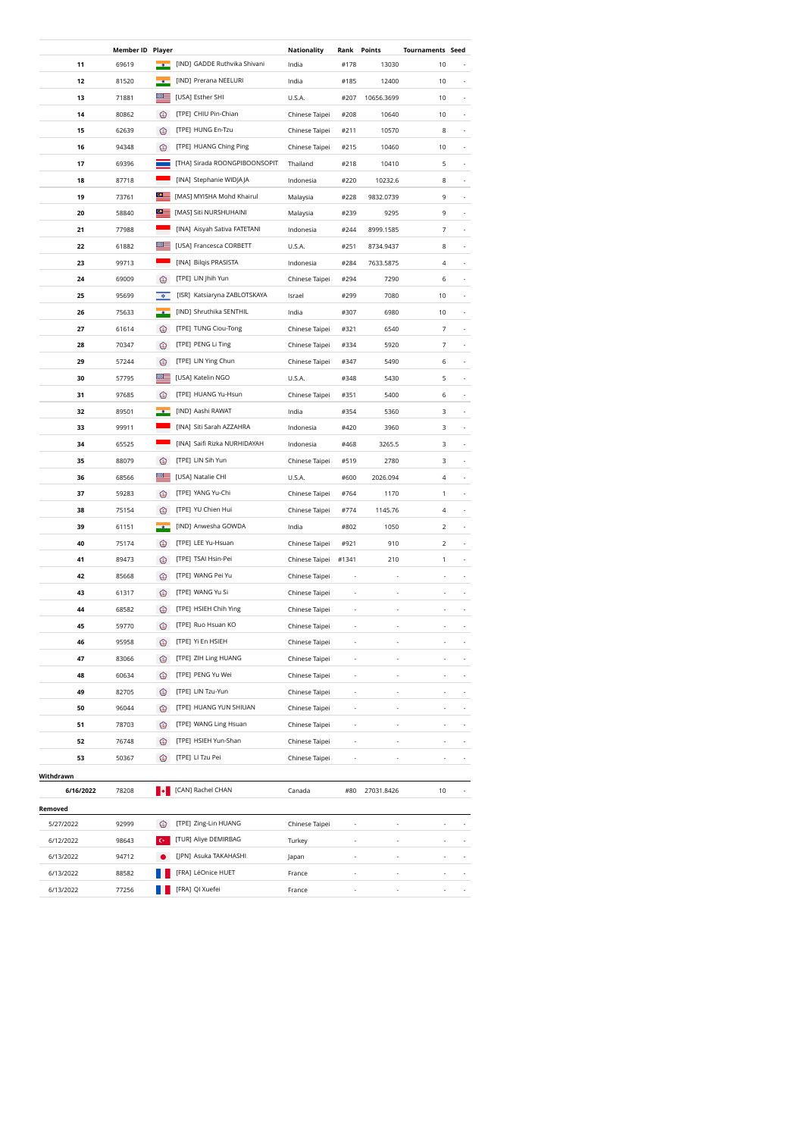|           | <b>Member ID Player</b> |                  |                               | Nationality    | Rank           | Points     | <b>Tournaments Seed</b>  |                          |
|-----------|-------------------------|------------------|-------------------------------|----------------|----------------|------------|--------------------------|--------------------------|
| 11        | 69619                   |                  | [IND] GADDE Ruthvika Shivani  | India          | #178           | 13030      | 10                       |                          |
| 12        | 81520                   |                  | [IND] Prerana NEELURI         | India          | #185           | 12400      | 10                       |                          |
| 13        | 71881                   | ▩▤               | [USA] Esther SHI              | U.S.A.         | #207           | 10656.3699 | 10                       |                          |
| 14        | 80862                   | ☜                | [TPE] CHIU Pin-Chian          | Chinese Taipei | #208           | 10640      | 10                       |                          |
| 15        | 62639                   | ⊛                | [TPE] HUNG En-Tzu             | Chinese Taipei | #211           | 10570      | 8                        |                          |
| 16        | 94348                   | ☺                | [TPE] HUANG Ching Ping        | Chinese Taipei | #215           | 10460      | $10$                     |                          |
| 17        | 69396                   |                  | [THA] Sirada ROONGPIBOONSOPIT | Thailand       | #218           | 10410      | 5                        |                          |
| 18        | 87718                   |                  | [INA] Stephanie WIDJAJA       | Indonesia      | #220           | 10232.6    | 8                        |                          |
| 19        | 73761                   | $\circ$ $\equiv$ | [MAS] MYISHA Mohd Khairul     | Malaysia       | #228           | 9832.0739  | 9                        |                          |
| 20        | 58840                   | ≌≌               | [MAS] Siti NURSHUHAINI        | Malaysia       | #239           | 9295       | 9                        |                          |
| 21        | 77988                   |                  | [INA] Aisyah Sativa FATETANI  | Indonesia      | #244           | 8999.1585  | 7                        |                          |
| 22        | 61882                   |                  | [USA] Francesca CORBETT       | U.S.A.         | #251           | 8734.9437  | 8                        |                          |
| 23        | 99713                   |                  | [INA] Bilqis PRASISTA         | Indonesia      | #284           | 7633.5875  | 4                        |                          |
| 24        | 69009                   | ∙⊗               | [TPE] LIN Jhih Yun            | Chinese Taipei | #294           | 7290       | 6                        |                          |
| 25        | 95699                   | $\mathfrak{D}$   | [ISR] Katsiaryna ZABLOTSKAYA  | Israel         | #299           | 7080       | 10                       |                          |
| 26        | 75633                   |                  | [IND] Shruthika SENTHIL       | India          | #307           | 6980       | 10                       | ٠                        |
| 27        | 61614                   | ⊛                | [TPE] TUNG Ciou-Tong          | Chinese Taipei | #321           | 6540       | 7                        | ٠                        |
| 28        | 70347                   | ⊛                | [TPE] PENG Li Ting            | Chinese Taipei | #334           | 5920       | 7                        | $\overline{\phantom{a}}$ |
| 29        | 57244                   | ☺                | [TPE] LIN Ying Chun           | Chinese Taipei | #347           | 5490       | 6                        | $\overline{\phantom{a}}$ |
| 30        | 57795                   | ≊≡               | [USA] Katelin NGO             | U.S.A.         | #348           | 5430       | 5                        | $\overline{\phantom{a}}$ |
| 31        | 97685                   | ⊛                | [TPE] HUANG Yu-Hsun           | Chinese Taipei | #351           | 5400       | 6                        |                          |
| 32        | 89501                   |                  | [IND] Aashi RAWAT             | India          | #354           | 5360       | 3                        |                          |
| 33        | 99911                   |                  | [INA] Siti Sarah AZZAHRA      | Indonesia      | #420           | 3960       | 3                        |                          |
| 34        | 65525                   |                  | [INA] Saifi Rizka NURHIDAYAH  | Indonesia      | #468           | 3265.5     | 3                        |                          |
| 35        | 88079                   | ◉                | [TPE] LIN Sih Yun             | Chinese Taipei | #519           | 2780       | 3                        |                          |
| 36        | 68566                   | ▩                | [USA] Natalie CHI             | U.S.A.         | #600           | 2026.094   | 4                        |                          |
| 37        | 59283                   | ☺                | [TPE] YANG Yu-Chi             | Chinese Taipei | #764           | 1170       | 1                        |                          |
| 38        | 75154                   | ⊛                | [TPE] YU Chien Hui            | Chinese Taipei | #774           | 1145.76    | 4                        |                          |
| 39        | 61151                   |                  | [IND] Anwesha GOWDA           | India          | #802           | 1050       | 2                        | ٠                        |
| 40        | 75174                   | ⊛                | [TPE] LEE Yu-Hsuan            | Chinese Taipei | #921           | 910        | $\overline{2}$           | ٠                        |
| 41        | 89473                   | ⊛                | [TPE] TSAI Hsin-Pei           | Chinese Taipei | #1341          | 210        | 1                        | $\overline{\phantom{a}}$ |
| 42        | 85668                   | ☺                | [TPE] WANG Pei Yu             | Chinese Taipei |                |            | ä,                       |                          |
| 43        | 61317                   | ∙⊗               | [TPE] WANG Yu Si              | Chinese Taipei | ÷,             | ä,         | ä,                       |                          |
| 44        | 68582                   | ☺                | [TPE] HSIEH Chih Ying         | Chinese Taipei |                | i,         |                          |                          |
| 45        | 59770                   | ☺                | [TPE] Ruo Hsuan KO            | Chinese Taipei |                |            |                          |                          |
| 46        | 95958                   | ⊛                | [TPE] Yi En HSIEH             | Chinese Taipei |                |            |                          |                          |
| 47        | 83066                   | ☺                | [TPE] ZIH Ling HUANG          | Chinese Taipei | ÷,             |            |                          |                          |
| 48        | 60634                   | ☺                | [TPE] PENG Yu Wei             | Chinese Taipei |                |            |                          |                          |
| 49        | 82705                   | ☺                | [TPE] LIN Tzu-Yun             | Chinese Taipei |                |            |                          |                          |
| 50        | 96044                   | ☺                | [TPE] HUANG YUN SHIUAN        | Chinese Taipei | ÷              |            |                          |                          |
| 51        | 78703                   | ⊙                | [TPE] WANG Ling Hsuan         | Chinese Taipei | ÷              |            | -                        |                          |
| 52        | 76748                   | <b>CS</b>        | [TPE] HSIEH Yun-Shan          | Chinese Taipei | $\overline{a}$ | ٠          | $\overline{\phantom{m}}$ | $\overline{\phantom{a}}$ |
| 53        | 50367                   | œ                | [TPE] LI Tzu Pei              | Chinese Taipei |                |            | $\overline{\phantom{m}}$ | ٠                        |
| Withdrawn |                         |                  |                               |                |                |            |                          |                          |
| 6/16/2022 | 78208                   |                  | <b>I</b> [CAN] Rachel CHAN    | Canada         | #80            | 27031.8426 | 10                       |                          |
| Removed   |                         |                  |                               |                |                |            |                          |                          |
| 5/27/2022 | 92999                   | ⊛                | [TPE] Zing-Lin HUANG          | Chinese Taipei |                | ä,         |                          |                          |
| 6/12/2022 | 98643                   |                  | [TUR] Aliye DEMIRBAG          | Turkey         |                |            |                          |                          |
| 6/13/2022 | 94712                   |                  | [JPN] Asuka TAKAHASHI         | Japan          |                |            |                          |                          |
| 6/13/2022 | 88582                   |                  | [FRA] LéOnice HUET            | France         | ÷,             | J,         |                          |                          |
| 6/13/2022 | 77256                   |                  | [FRA] QI Xuefei               | France         | L,             |            |                          |                          |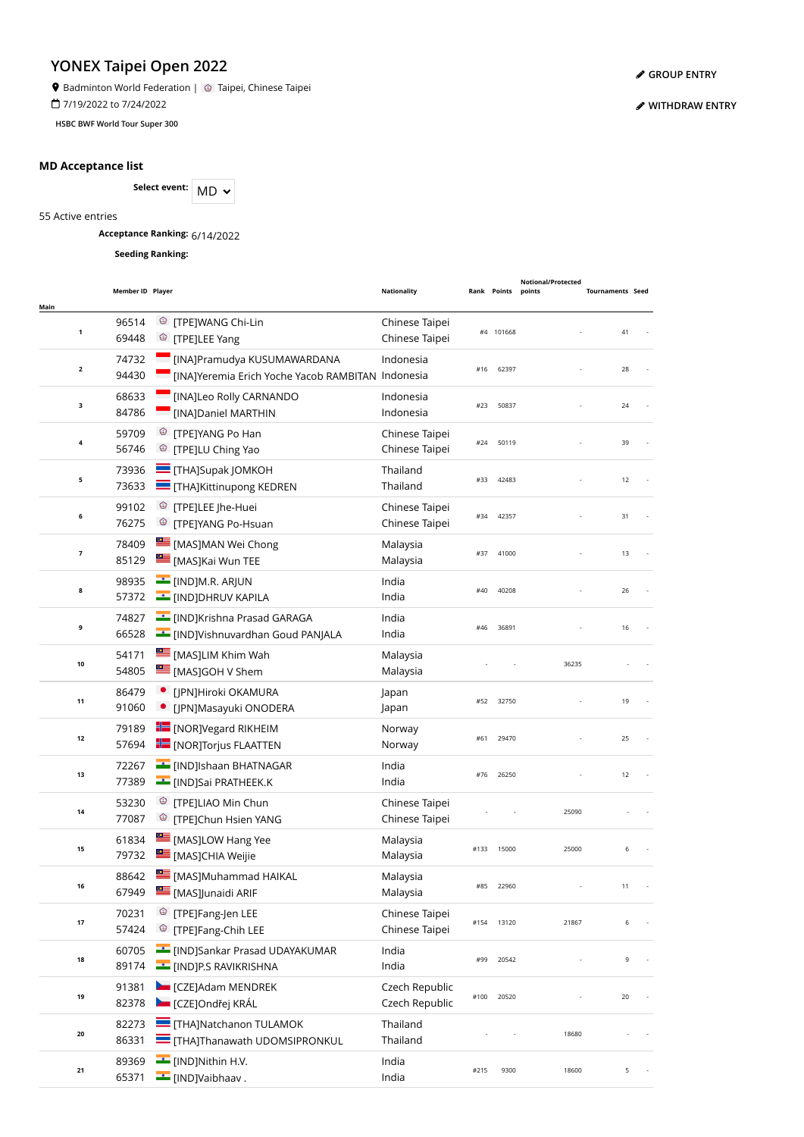$\bullet$  Badminton World Federation |  $\circledcirc$  Taipei, Chinese Taipei

7/19/2022 to 7/24/2022

**HSBC BWF World Tour Super 300**

### **MD Acceptance list**

Select event: MD  $\sim$ 

55 Active entries

**Acceptance Ranking:** 6/14/2022

**Seeding Ranking:**

| Main                    | Member ID Player |                                                                                              | <b>Nationality</b>               | Rank | Points    | <b>Notional/Protected</b><br>points | <b>Tournaments Seed</b> |  |
|-------------------------|------------------|----------------------------------------------------------------------------------------------|----------------------------------|------|-----------|-------------------------------------|-------------------------|--|
| $\mathbf 1$             | 96514<br>69448   | <sup>©</sup> [TPE]WANG Chi-Lin<br><sup>®</sup> [TPE]LEE Yang                                 | Chinese Taipei<br>Chinese Taipei |      | #4 101668 |                                     | 41                      |  |
| $\overline{\mathbf{2}}$ | 74732<br>94430   | [INA]Pramudya KUSUMAWARDANA<br>[INA]Yeremia Erich Yoche Yacob RAMBITAN Indonesia             | Indonesia                        | #16  | 62397     |                                     | 28                      |  |
| з                       | 68633<br>84786   | [INA]Leo Rolly CARNANDO<br>[INA]Daniel MARTHIN                                               | Indonesia<br>Indonesia           | #23  | 50837     |                                     | 24                      |  |
| $\pmb{4}$               | 59709<br>56746   | ☺<br>[TPE]YANG Po Han<br>Ø.<br>[TPE]LU Ching Yao                                             | Chinese Taipei<br>Chinese Taipei | #24  | 50119     |                                     | 39                      |  |
| 5                       | 73936<br>73633   | $\equiv$ [THA]Supak JOMKOH<br>THA]Kittinupong KEDREN                                         | Thailand<br>Thailand             | #33  | 42483     |                                     | 12                      |  |
| 6                       | 99102<br>76275   | <sup>3</sup> [TPE]LEE Jhe-Huei<br><sup>©</sup> [TPE]YANG Po-Hsuan                            | Chinese Taipei<br>Chinese Taipei | #34  | 42357     |                                     | 31                      |  |
| $\overline{\mathbf{z}}$ | 78409<br>85129   | [MAS]MAN Wei Chong<br>[MAS]Kai Wun TEE                                                       | Malaysia<br>Malaysia             | #37  | 41000     |                                     | 13                      |  |
| 8                       | 98935<br>57372   | <b>E</b> [IND]M.R. ARJUN<br><b>EXAMPLE (IND)DHRUV KAPILA</b>                                 | India<br>India                   | #40  | 40208     |                                     | 26                      |  |
| 9                       | 74827<br>66528   | <b>FIND</b> ]Krishna Prasad GARAGA<br>[IND]Vishnuvardhan Goud PANJALA                        | India<br>India                   | #46  | 36891     |                                     | 16                      |  |
| 10                      | 54171<br>54805   | [MAS]LIM Khim Wah<br>[MAS]GOH V Shem                                                         | Malaysia<br>Malaysia             |      |           | 36235                               |                         |  |
| 11                      | 86479<br>91060   | [JPN]Hiroki OKAMURA<br>[JPN]Masayuki ONODERA                                                 | Japan<br>Japan                   | #52  | 32750     |                                     | 19                      |  |
| 12                      | 79189<br>57694   | $\blacksquare$ [NOR] Vegard RIKHEIM<br><b>For</b> [NOR]Torjus FLAATTEN                       | Norway<br>Norway                 | #61  | 29470     |                                     | 25                      |  |
| 13                      | 72267<br>77389   | [IND]Ishaan BHATNAGAR<br><b>EXAMPLE (IND)Sai PRATHEEK.K</b>                                  | India<br>India                   | #76  | 26250     |                                     | 12                      |  |
| 14                      | 53230<br>77087   | <sup>©</sup> [TPE]LIAO Min Chun<br><sup>3</sup> [TPE]Chun Hsien YANG                         | Chinese Taipei<br>Chinese Taipei |      |           | 25090                               |                         |  |
| 15                      | 61834<br>79732   | [MAS]LOW Hang Yee<br>MASJCHIA Weijie                                                         | Malaysia<br>Malaysia             | #133 | 15000     | 25000                               | 6                       |  |
| 16                      | 88642<br>67949   | [MAS]Muhammad HAIKAL<br>[MAS]Junaidi ARIF                                                    | Malaysia<br>Malaysia             | #85  | 22960     |                                     | 11                      |  |
| 17                      | 70231<br>57424   | <sup>©</sup> [TPE]Fang-Jen LEE<br><sup>©</sup> [TPE]Fang-Chih LEE                            | Chinese Taipei<br>Chinese Taipei | #154 | 13120     | 21867                               | 6                       |  |
| 18                      | 60705<br>89174   | <b>Example 15 INDJSankar Prasad UDAYAKUMAR</b><br><b>EXAMPLE CONTROLL IN THE EXAMPLE SET</b> | India<br>India                   | #99  | 20542     |                                     | 9                       |  |
| 19                      | 91381<br>82378   | CZEJAdam MENDREK<br>CZEJOndřej KRÁL                                                          | Czech Republic<br>Czech Republic | #100 | 20520     |                                     | 20                      |  |
| 20                      | 82273<br>86331   | <b>THAJNatchanon TULAMOK</b><br><b>THAJThanawath UDOMSIPRONKUL</b>                           | Thailand<br>Thailand             |      |           | 18680                               |                         |  |
| 21                      | 89369<br>65371   | [IND]Nithin H.V.<br><b>__</b> [IND]Vaibhaav .                                                | India<br>India                   | #215 | 9300      | 18600                               | 5                       |  |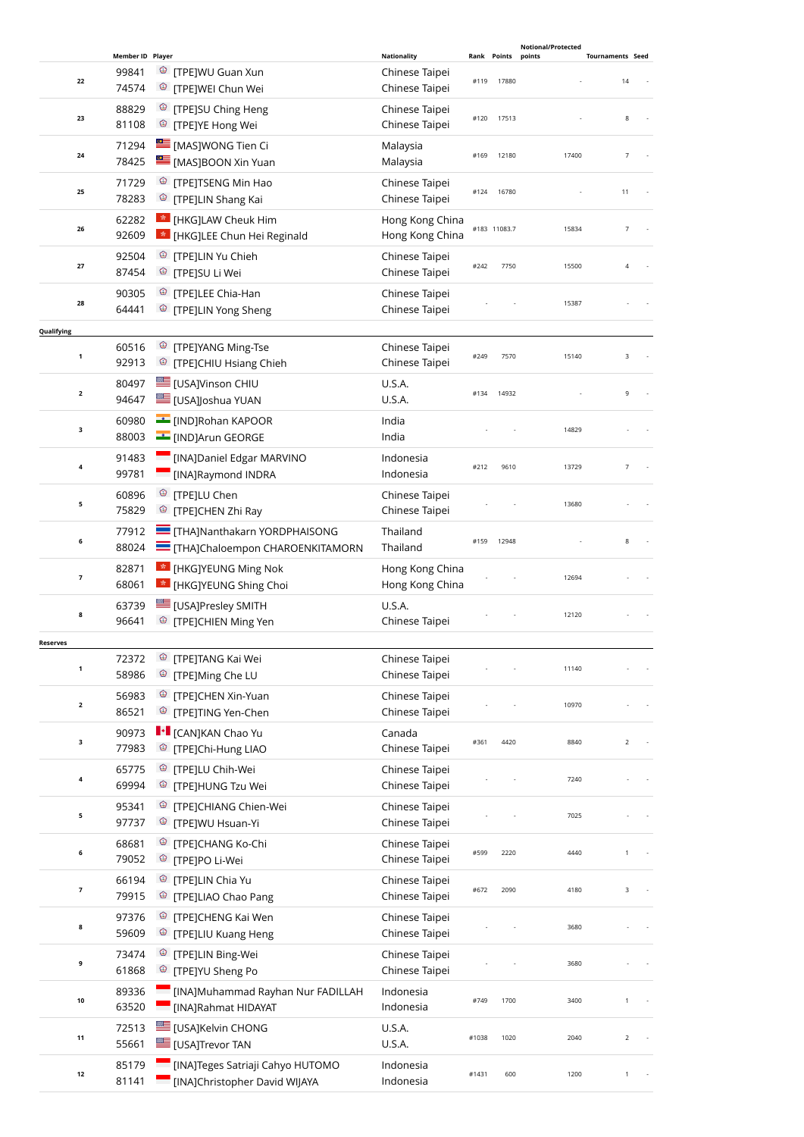|                         |                           |                                            |                                  |       |              | Notional/Protected |                         |
|-------------------------|---------------------------|--------------------------------------------|----------------------------------|-------|--------------|--------------------|-------------------------|
|                         | Member ID Player<br>99841 |                                            | <b>Nationality</b>               |       | Rank Points  | points             | <b>Tournaments Seed</b> |
| 22                      | 74574                     | <sup>©</sup> [TPE]WU Guan Xun              | Chinese Taipei<br>Chinese Taipei | #119  | 17880        |                    | 14                      |
|                         |                           | <sup>©</sup> [TPE]WEI Chun Wei             |                                  |       |              |                    |                         |
| 23                      | 88829                     | <sup>©</sup> [TPE]SU Ching Heng            | Chinese Taipei                   | #120  | 17513        |                    | 8                       |
|                         | 81108                     | <sup>©</sup> [TPE]YE Hong Wei              | Chinese Taipei                   |       |              |                    |                         |
|                         | 71294                     | [MAS]WONG Tien Ci                          | Malaysia                         |       |              |                    |                         |
| 24                      | 78425                     | [MAS]BOON Xin Yuan                         | Malaysia                         | #169  | 12180        | 17400              | $\overline{7}$          |
|                         | 71729                     | <sup>©</sup> [TPE]TSENG Min Hao            | Chinese Taipei                   |       |              |                    |                         |
| 25                      | 78283                     | <sup><sup>3</sup> [TPE]LIN Shang Kai</sup> | Chinese Taipei                   | #124  | 16780        |                    | 11                      |
|                         | 62282                     | * [HKG]LAW Cheuk Him                       | Hong Kong China                  |       |              |                    |                         |
| 26                      | 92609                     | <b>*</b> [HKG]LEE Chun Hei Reginald        | Hong Kong China                  |       | #183 11083.7 | 15834              | $\overline{7}$          |
|                         |                           |                                            |                                  |       |              |                    |                         |
| 27                      | 92504                     | <sup>©</sup> [TPE]LIN Yu Chieh             | Chinese Taipei                   | #242  | 7750         | 15500              | $\overline{4}$          |
|                         | 87454                     | <sup>©</sup> [TPE]SU Li Wei                | Chinese Taipei                   |       |              |                    |                         |
| 28                      | 90305                     | <sup>©</sup> [TPE]LEE Chia-Han             | Chinese Taipei                   |       |              | 15387              |                         |
|                         | 64441                     | <sup>3</sup> [TPE]LIN Yong Sheng           | Chinese Taipei                   |       |              |                    |                         |
| Qualifying              |                           |                                            |                                  |       |              |                    |                         |
|                         | 60516                     | <sup>©</sup> [TPE]YANG Ming-Tse            | Chinese Taipei                   |       |              |                    |                         |
| $\mathbf 1$             | 92913                     | <sup>3</sup> [TPE]CHIU Hsiang Chieh        | Chinese Taipei                   | #249  | 7570         | 15140              | 3                       |
|                         | 80497                     | E [USA]Vinson CHIU                         | U.S.A.                           |       |              |                    |                         |
| $\overline{\mathbf{2}}$ | 94647                     | E [USA]Joshua YUAN                         | U.S.A.                           | #134  | 14932        |                    | 9                       |
|                         |                           |                                            |                                  |       |              |                    |                         |
| 3                       | 60980                     | [IND]Rohan KAPOOR                          | India                            |       |              | 14829              |                         |
|                         | 88003                     | [IND]Arun GEORGE                           | India                            |       |              |                    |                         |
|                         | 91483                     | [INA]Daniel Edgar MARVINO                  | Indonesia                        |       |              |                    |                         |
| 4                       | 99781                     | [INA]Raymond INDRA                         | Indonesia                        | #212  | 9610         | 13729              | $\overline{7}$          |
|                         | 60896                     | <sup>©</sup> [TPE]LU Chen                  | Chinese Taipei                   |       |              |                    |                         |
| 5                       | 75829                     | <sup><sup>®</sup> [TPE]CHEN Zhi Ray</sup>  | Chinese Taipei                   |       |              | 13680              |                         |
|                         | 77912                     | <b>THAJNanthakarn YORDPHAISONG</b>         | Thailand                         |       |              |                    |                         |
| 6                       | 88024                     | THA]Chaloempon CHAROENKITAMORN             | Thailand                         | #159  | 12948        |                    | 8                       |
|                         |                           |                                            |                                  |       |              |                    |                         |
| 7                       | 82871                     | <b>*</b> [HKG]YEUNG Ming Nok               | Hong Kong China                  |       |              | 12694              |                         |
|                         | 68061                     | <b>*</b> [HKG]YEUNG Shing Choi             | Hong Kong China                  |       |              |                    |                         |
| 8                       | 63739                     | [USA]Presley SMITH                         | <b>U.S.A.</b>                    |       |              | 12120              |                         |
|                         | 96641                     | <sup>3</sup> [TPE]CHIEN Ming Yen           | Chinese Taipei                   |       |              |                    |                         |
| Reserves                |                           |                                            |                                  |       |              |                    |                         |
|                         | 72372                     | <sup><sup>3</sup> [TPE]TANG Kai Wei</sup>  | Chinese Taipei                   |       |              |                    |                         |
| 1                       | 58986                     | <sup>©</sup> [TPE]Ming Che LU              | Chinese Taipei                   |       |              | 11140              |                         |
|                         | 56983                     | <sup>3</sup> [TPE]CHEN Xin-Yuan            | Chinese Taipei                   |       |              |                    |                         |
| $\mathbf 2$             | 86521                     | <sup>®</sup> [TPE]TING Yen-Chen            | Chinese Taipei                   |       |              | 10970              |                         |
|                         |                           |                                            |                                  |       |              |                    |                         |
| з                       | 90973                     | <b>I</b> • [CAN]KAN Chao Yu                | Canada                           | #361  | 4420         | 8840               | $\overline{2}$          |
|                         | 77983                     | <sup>©</sup> [TPE]Chi-Hung LIAO            | Chinese Taipei                   |       |              |                    |                         |
| 4                       | 65775                     | <sup>®</sup> [TPE]LU Chih-Wei              | Chinese Taipei                   |       |              | 7240               |                         |
|                         | 69994                     | <sup>©</sup> [TPE]HUNG Tzu Wei             | Chinese Taipei                   |       |              |                    |                         |
|                         | 95341                     | <sup>3</sup> [TPE]CHIANG Chien-Wei         | Chinese Taipei                   |       |              |                    |                         |
| 5                       | 97737                     | <sup>©</sup> [TPE]WU Hsuan-Yi              | Chinese Taipei                   |       |              | 7025               |                         |
|                         | 68681                     | <sup>3</sup> [TPE]CHANG Ko-Chi             | Chinese Taipei                   |       |              |                    |                         |
| 6                       | 79052                     | <sup>©</sup> [TPE]PO Li-Wei                | Chinese Taipei                   | #599  | 2220         | 4440               | 1                       |
|                         |                           |                                            |                                  |       |              |                    |                         |
| $\overline{\mathbf{z}}$ | 66194                     | <sup>3</sup> [TPE]LIN Chia Yu              | Chinese Taipei                   | #672  | 2090         | 4180               | 3                       |
|                         | 79915                     | <sup>3</sup> [TPE]LIAO Chao Pang           | Chinese Taipei                   |       |              |                    |                         |
|                         | 97376                     | <sup>3</sup> [TPE]CHENG Kai Wen            | Chinese Taipei                   |       |              | 3680               |                         |
| 8                       | 59609                     | <sup>3</sup> [TPE]LIU Kuang Heng           | Chinese Taipei                   |       |              |                    |                         |
|                         | 73474                     | <sup>3</sup> [TPE]LIN Bing-Wei             | Chinese Taipei                   |       |              |                    |                         |
| 9                       | 61868                     | <sup>3</sup> [TPE]YU Sheng Po              | Chinese Taipei                   |       |              | 3680               |                         |
|                         | 89336                     | [INA]Muhammad Rayhan Nur FADILLAH          | Indonesia                        |       |              |                    |                         |
| 10                      | 63520                     | [INA]Rahmat HIDAYAT                        | Indonesia                        | #749  | 1700         | 3400               | $\mathbf{1}$            |
|                         |                           |                                            |                                  |       |              |                    |                         |
| 11                      | 72513                     | <b>USAJKelvin CHONG</b>                    | U.S.A.                           | #1038 | 1020         | 2040               | $\overline{2}$          |
|                         | 55661                     | [USA]Trevor TAN                            | U.S.A.                           |       |              |                    |                         |
|                         | 85179                     | [INA]Teges Satriaji Cahyo HUTOMO           | Indonesia                        | #1431 | 600          | 1200               | $\mathbf{1}$            |
| 12                      | 81141                     | [INA]Christopher David WIJAYA              | Indonesia                        |       |              |                    |                         |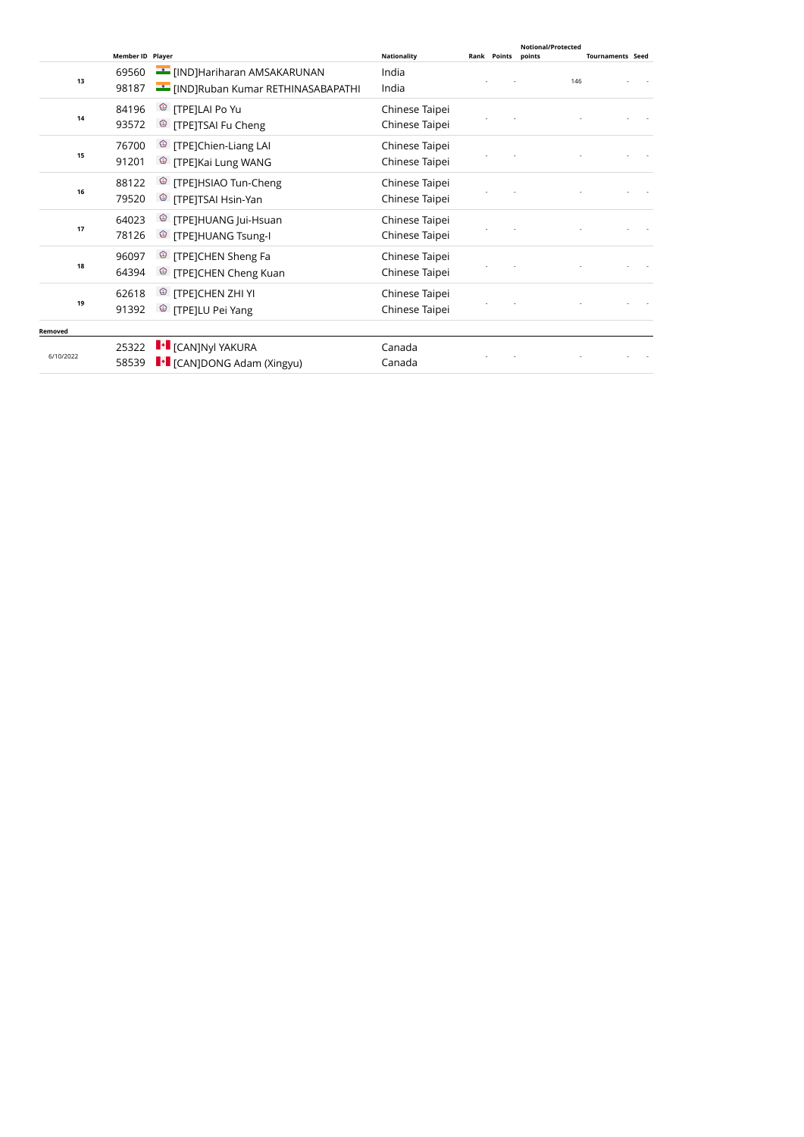|           | <b>Member ID Player</b> |                                                     | <b>Nationality</b> | Rank Points | Notional/Protected<br>points | <b>Tournaments Seed</b> |  |
|-----------|-------------------------|-----------------------------------------------------|--------------------|-------------|------------------------------|-------------------------|--|
|           | 69560                   | <b>EXAMPLE TERMINISH</b> [IND]Hariharan AMSAKARUNAN | India              |             |                              |                         |  |
| 13        | 98187                   | [IND]Ruban Kumar RETHINASABAPATHI                   | India              |             | 146                          |                         |  |
|           | 84196                   | <sup>©</sup> [TPE]LAI Po Yu                         | Chinese Taipei     |             |                              |                         |  |
| 14        | 93572                   | <sup>3</sup> [TPE]TSAI Fu Cheng                     | Chinese Taipei     |             |                              |                         |  |
|           | 76700                   | <sup>©</sup> [TPE]Chien-Liang LAI                   | Chinese Taipei     |             |                              |                         |  |
| 15        | 91201                   | <sup>©</sup> [TPE]Kai Lung WANG                     | Chinese Taipei     |             |                              |                         |  |
|           | 88122                   | <sup>3</sup> [TPE]HSIAO Tun-Cheng                   | Chinese Taipei     |             |                              |                         |  |
| 16        | 79520                   | <sup>3</sup> [TPE]TSAI Hsin-Yan                     | Chinese Taipei     |             |                              |                         |  |
|           | 64023                   | <sup>©</sup> [TPE]HUANG Jui-Hsuan                   | Chinese Taipei     |             |                              |                         |  |
| 17        | 78126                   | <sup>©</sup> [TPE]HUANG Tsung-I                     | Chinese Taipei     |             |                              |                         |  |
|           | 96097                   | <sup>©</sup> [TPE]CHEN Sheng Fa                     | Chinese Taipei     |             |                              |                         |  |
| 18        | 64394                   | <sup>©</sup> [TPE]CHEN Cheng Kuan                   | Chinese Taipei     |             |                              |                         |  |
|           | 62618                   | <sup>©</sup> [TPE]CHEN ZHI YI                       | Chinese Taipei     |             |                              |                         |  |
| 19        | 91392                   | <sup>3</sup> [TPE]LU Pei Yang                       | Chinese Taipei     |             |                              |                         |  |
| Removed   |                         |                                                     |                    |             |                              |                         |  |
|           | 25322                   | $\left\Vert \cdot\right\Vert$ [CAN]Nyl YAKURA       | Canada             |             |                              |                         |  |
| 6/10/2022 | 58539                   | <b>I</b> CANJDONG Adam (Xingyu)                     | Canada             |             |                              |                         |  |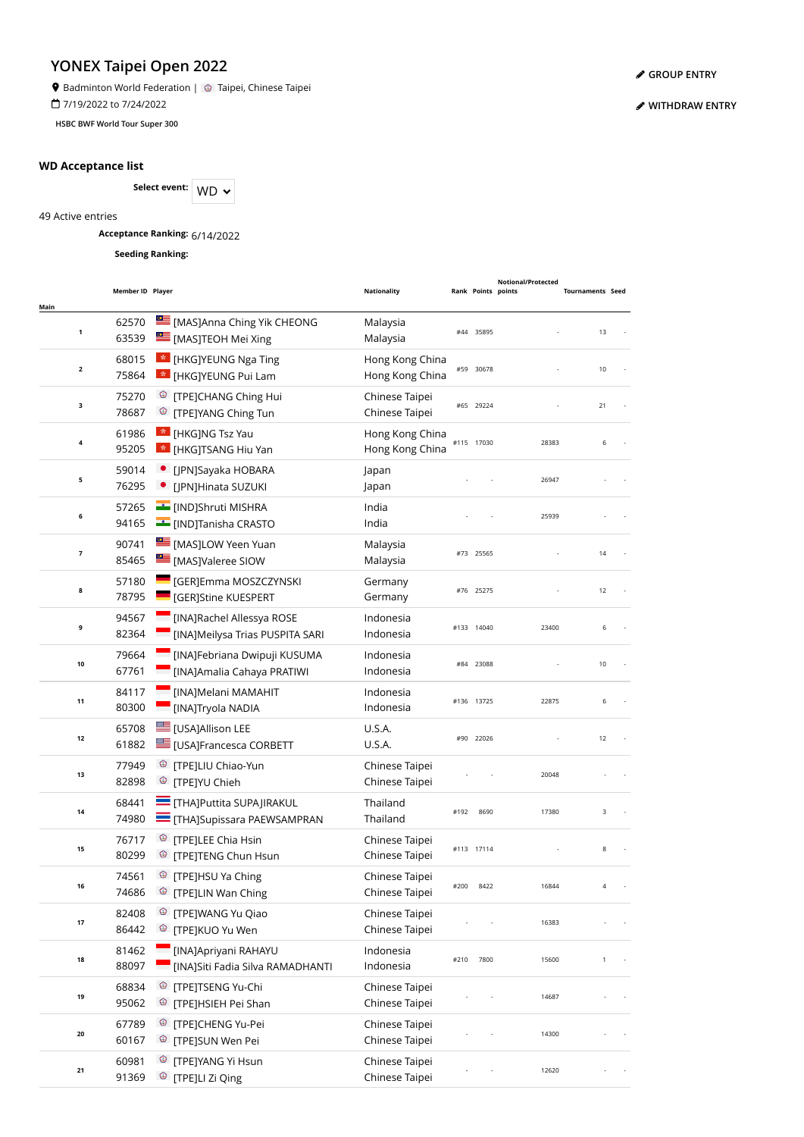**9** Badminton World Federation | @ Taipei, Chinese Taipei

7/19/2022 to 7/24/2022

**HSBC BWF World Tour Super 300**

### **WD Acceptance list**

Select event: WD  $\sim$ 

49 Active entries

**Acceptance Ranking:** 6/14/2022

**Seeding Ranking:**

| Main                    | Member ID Player |                                                                                     | Nationality                        |      | Rank Points points | Notional/Protected | <b>Tournaments Seed</b> |  |
|-------------------------|------------------|-------------------------------------------------------------------------------------|------------------------------------|------|--------------------|--------------------|-------------------------|--|
| 1                       | 62570<br>63539   | [MAS]Anna Ching Yik CHEONG<br>[MAS]TEOH Mei Xing                                    | Malaysia<br>Malaysia               |      | #44 35895          |                    | 13                      |  |
| $\mathbf{2}$            | 68015<br>75864   | <b>*</b> [HKG]YEUNG Nga Ting<br>* [HKG]YEUNG Pui Lam                                | Hong Kong China<br>Hong Kong China |      | #59 30678          |                    | 10                      |  |
| з                       | 75270<br>78687   | <sup>3</sup> [TPE]CHANG Ching Hui<br><sup>®</sup> [TPE]YANG Ching Tun               | Chinese Taipei<br>Chinese Taipei   |      | #65 29224          |                    | 21                      |  |
| 4                       | 61986<br>95205   | <b>*</b> [HKG]NG Tsz Yau<br><b>*</b> [HKG]TSANG Hiu Yan                             | Hong Kong China<br>Hong Kong China |      | #115 17030         | 28383              | 6                       |  |
| 5                       | 59014<br>76295   | [JPN]Sayaka HOBARA<br>• [JPN]Hinata SUZUKI                                          | Japan<br>Japan                     |      |                    | 26947              |                         |  |
| 6                       | 57265<br>94165   | [IND]Shruti MISHRA<br><b>EXECUTE (IND)Tanisha CRASTO</b>                            | India<br>India                     |      |                    | 25939              |                         |  |
| $\overline{\mathbf{z}}$ | 90741<br>85465   | MASJLOW Yeen Yuan<br><b>EMAS</b> [MAS] Valeree SIOW                                 | Malaysia<br>Malaysia               |      | #73 25565          |                    | 14                      |  |
| 8                       | 57180<br>78795   | <b>SALE [GER]Emma MOSZCZYNSKI</b><br>[GER]Stine KUESPERT                            | Germany<br>Germany                 |      | #76 25275          |                    | 12                      |  |
| 9                       | 94567<br>82364   | <b>Example 2</b> [INA]Rachel Allessya ROSE<br>[INA]Meilysa Trias PUSPITA SARI       | Indonesia<br>Indonesia             |      | #133 14040         | 23400              | 6                       |  |
| 10                      | 79664<br>67761   | [INA]Febriana Dwipuji KUSUMA<br>[INA]Amalia Cahaya PRATIWI                          | Indonesia<br>Indonesia             |      | #84 23088          |                    | 10                      |  |
| 11                      | 84117<br>80300   | <b>MAJMelani MAMAHIT</b><br>[INA]Tryola NADIA                                       | Indonesia<br>Indonesia             |      | #136 13725         | 22875              | 6                       |  |
| 12                      | 65708<br>61882   | <b>USAJAllison LEE</b><br><b>USA]Francesca CORBETT</b>                              | U.S.A.<br>U.S.A.                   |      | #90 22026          |                    | 12                      |  |
| 13                      | 77949<br>82898   | <sup><sup>®</sup> [TPE]LIU Chiao-Yun</sup><br><sup><sup>®</sup> [TPE]YU Chieh</sup> | Chinese Taipei<br>Chinese Taipei   |      |                    | 20048              |                         |  |
| 14                      | 68441<br>74980   | <b>THA]Puttita SUPAJIRAKUL</b><br><b>THA]Supissara PAEWSAMPRAN</b>                  | Thailand<br>Thailand               | #192 | 8690               | 17380              | 3                       |  |
| 15                      | 76717<br>80299   | <sup>©</sup> [TPE]LEE Chia Hsin<br><sup>3</sup> [TPE]TENG Chun Hsun                 | Chinese Taipei<br>Chinese Taipei   |      | #113 17114         |                    | 8                       |  |
| 16                      | 74561<br>74686   | <sup>©</sup> [TPE]HSU Ya Ching<br>[TPE]LIN Wan Ching<br>Ø                           | Chinese Taipei<br>Chinese Taipei   | #200 | 8422               | 16844              |                         |  |
| 17                      | 82408<br>86442   | <sup>®</sup> [TPE]WANG Yu Qiao<br>[TPE]KUO Yu Wen<br>Ø                              | Chinese Taipei<br>Chinese Taipei   |      |                    | 16383              |                         |  |
| 18                      | 81462<br>88097   | [INA]Apriyani RAHAYU<br>[INA]Siti Fadia Silva RAMADHANTI                            | Indonesia<br>Indonesia             | #210 | 7800               | 15600              | 1                       |  |
| 19                      | 68834<br>95062   | <sup>©</sup> [TPE]TSENG Yu-Chi<br><sup>©</sup> [TPE]HSIEH Pei Shan                  | Chinese Taipei<br>Chinese Taipei   |      |                    | 14687              |                         |  |
| 20                      | 67789<br>60167   | <sup>©</sup> [TPE]CHENG Yu-Pei<br><sup>3</sup> [TPE]SUN Wen Pei                     | Chinese Taipei<br>Chinese Taipei   |      |                    | 14300              |                         |  |
| 21                      | 60981<br>91369   | <sup>©</sup> [TPE]YANG Yi Hsun<br><sup>®</sup> [TPE]LI Zi Qing                      | Chinese Taipei<br>Chinese Taipei   |      |                    | 12620              |                         |  |

**[GROUP ENTRY](https://bwf.tournamentsoftware.com/individual-entry/1740FB7C-1DA6-41A8-BBE8-A719DCF31AEF)**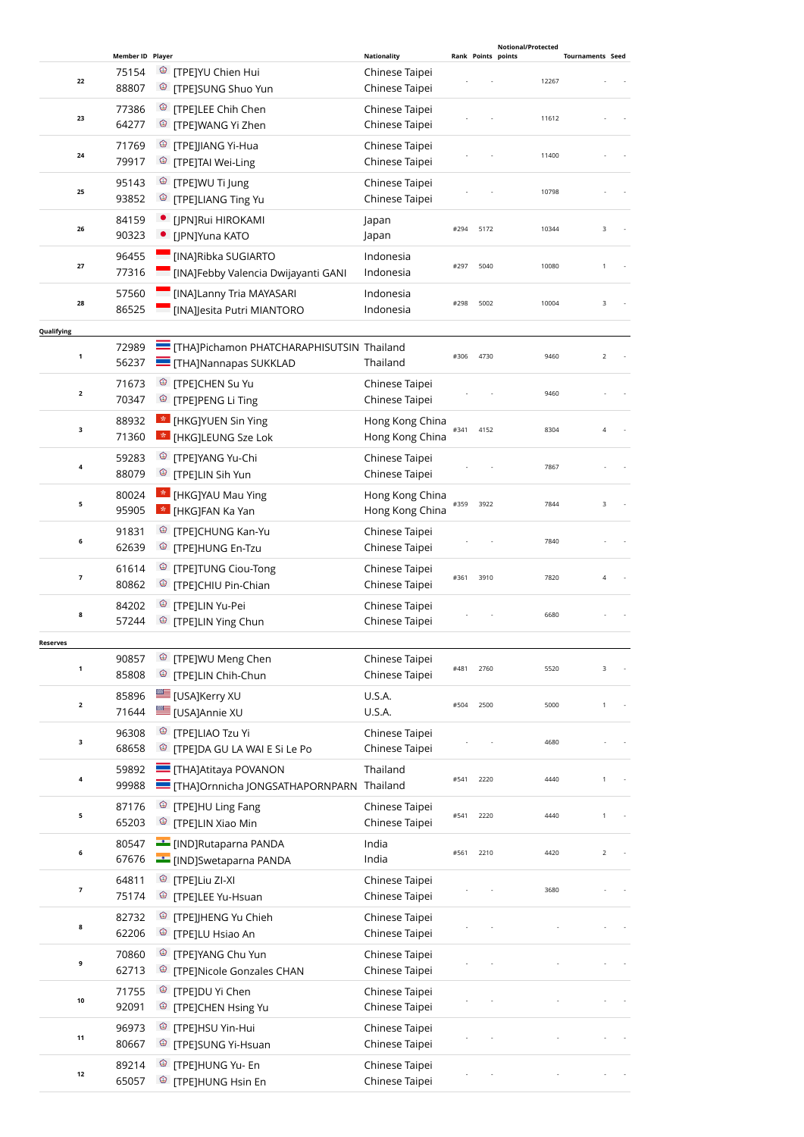|                         |                  |                                                                            |                                  |      |      | <b>Notional/Protected</b> |                         |
|-------------------------|------------------|----------------------------------------------------------------------------|----------------------------------|------|------|---------------------------|-------------------------|
|                         | Member ID Player |                                                                            | <b>Nationality</b>               |      |      | Rank Points points        | <b>Tournaments Seed</b> |
| 22                      | 75154<br>88807   | <sup>©</sup> [TPE]YU Chien Hui<br><sup>©</sup> [TPE]SUNG Shuo Yun          | Chinese Taipei<br>Chinese Taipei |      |      | 12267                     |                         |
|                         |                  |                                                                            |                                  |      |      |                           |                         |
| 23                      | 77386<br>64277   | <sup>©</sup> [TPE]LEE Chih Chen<br><sup>©</sup> [TPE]WANG Yi Zhen          | Chinese Taipei<br>Chinese Taipei |      |      | 11612                     |                         |
|                         | 71769            | <sup>©</sup> [TPE]JIANG Yi-Hua                                             | Chinese Taipei                   |      |      |                           |                         |
| 24                      | 79917            | <sup>©</sup> [TPE]TAI Wei-Ling                                             | Chinese Taipei                   |      |      | 11400                     |                         |
|                         | 95143            | <sup>©</sup> [TPE]WU Ti Jung                                               | Chinese Taipei                   |      |      |                           |                         |
| 25                      | 93852            | <sup>©</sup> [TPE]LIANG Ting Yu                                            | Chinese Taipei                   |      |      | 10798                     |                         |
|                         | 84159            | [JPN]Rui HIROKAMI                                                          | Japan                            |      |      |                           |                         |
| 26                      | 90323            | [JPN]Yuna KATO                                                             | Japan                            | #294 | 5172 | 10344                     | 3                       |
|                         | 96455            | [INA]Ribka SUGIARTO                                                        | Indonesia                        |      |      |                           |                         |
| 27                      | 77316            | [INA]Febby Valencia Dwijayanti GANI                                        | Indonesia                        | #297 | 5040 | 10080                     | 1                       |
|                         | 57560            | [INA]Lanny Tria MAYASARI                                                   | Indonesia                        |      |      |                           |                         |
| 28                      | 86525            | [INA]Jesita Putri MIANTORO                                                 | Indonesia                        | #298 | 5002 | 10004                     | 3                       |
| Qualifying              |                  |                                                                            |                                  |      |      |                           |                         |
|                         | 72989            | THAJPichamon PHATCHARAPHISUTSIN Thailand                                   |                                  |      |      |                           |                         |
| $\mathbf{1}$            | 56237            | THA]Nannapas SUKKLAD                                                       | Thailand                         | #306 | 4730 | 9460                      | $\overline{2}$          |
|                         |                  |                                                                            |                                  |      |      |                           |                         |
| $\overline{\mathbf{2}}$ | 71673            | <sup>©</sup> [TPE]CHEN Su Yu                                               | Chinese Taipei                   |      |      | 9460                      |                         |
|                         | 70347            | <sup><sup>®</sup> [TPE]PENG Li Ting</sup>                                  | Chinese Taipei                   |      |      |                           |                         |
|                         | 88932            | <b>Exa</b> [HKG]YUEN Sin Ying                                              | Hong Kong China                  |      |      |                           |                         |
| з                       | 71360            | <b>*</b> [HKG]LEUNG Sze Lok                                                | Hong Kong China                  | #341 | 4152 | 8304                      | $\overline{4}$          |
|                         | 59283            | <sup>©</sup> [TPE]YANG Yu-Chi                                              | Chinese Taipei                   |      |      |                           |                         |
| 4                       | 88079            | <sup>3</sup> [TPE]LIN Sih Yun                                              | Chinese Taipei                   |      |      | 7867                      |                         |
|                         | 80024            | <b>*</b> [HKG]YAU Mau Ying                                                 | Hong Kong China                  |      |      |                           |                         |
| 5                       | 95905            | E [HKG]FAN Ka Yan                                                          | Hong Kong China                  | #359 | 3922 | 7844                      | 3                       |
|                         |                  |                                                                            |                                  |      |      |                           |                         |
| 6                       | 91831            | <sup>©</sup> [TPE]CHUNG Kan-Yu                                             | Chinese Taipei                   |      |      | 7840                      |                         |
|                         | 62639            | <sup>3</sup> [TPE]HUNG En-Tzu                                              | Chinese Taipei                   |      |      |                           |                         |
| 7                       | 61614            | <sup>3</sup> [TPE]TUNG Ciou-Tong                                           | Chinese Taipei                   | #361 | 3910 | 7820                      | 4                       |
|                         | 80862            | <sup><sup>3</sup> [TPE]CHIU Pin-Chian</sup>                                | Chinese Taipei                   |      |      |                           |                         |
|                         | 84202            | <sup>©</sup> [TPE]LIN Yu-Pei                                               | Chinese Taipei                   |      |      |                           |                         |
| 8                       | 57244            | <sup>®</sup> [TPE]LIN Ying Chun                                            | Chinese Taipei                   |      |      | 6680                      |                         |
| <b>Reserves</b>         |                  |                                                                            |                                  |      |      |                           |                         |
|                         | 90857            | <sup>3</sup> [TPE]WU Meng Chen                                             | Chinese Taipei                   |      |      |                           |                         |
| 1                       | 85808            | <sup>©</sup> [TPE]LIN Chih-Chun                                            | Chinese Taipei                   | #481 | 2760 | 5520                      | 3                       |
|                         | 85896            | <b>E</b> [USA]Kerry XU                                                     | U.S.A.                           |      |      |                           |                         |
| $\overline{\mathbf{2}}$ | 71644            | EUSA]Annie XU                                                              | U.S.A.                           | #504 | 2500 | 5000                      | $\mathbf{1}$            |
|                         |                  |                                                                            |                                  |      |      |                           |                         |
| 3                       | 96308            | <sup>©</sup> [TPE]LIAO Tzu Yi<br><sup>©</sup> [TPE]DA GU LA WAI E Si Le Po | Chinese Taipei                   |      |      | 4680                      |                         |
|                         | 68658            |                                                                            | Chinese Taipei                   |      |      |                           |                         |
| 4                       | 59892            | <b>THAJAtitaya POVANON</b>                                                 | Thailand                         | #541 | 2220 | 4440                      | 1                       |
|                         | 99988            | THAJOrnnicha JONGSATHAPORNPARN Thailand                                    |                                  |      |      |                           |                         |
| 5                       | 87176            | <sup>©</sup> [TPE]HU Ling Fang                                             | Chinese Taipei                   | #541 | 2220 | 4440                      | $\mathbf{1}$            |
|                         | 65203            | <sup>©</sup> [TPE]LIN Xiao Min                                             | Chinese Taipei                   |      |      |                           |                         |
|                         | 80547            | <b>EXAMPLE 19</b> [IND]Rutaparna PANDA                                     | India                            |      |      |                           |                         |
| 6                       | 67676            | <b>Example 19 IND</b> ]Swetaparna PANDA                                    | India                            | #561 | 2210 | 4420                      | $\overline{2}$          |
|                         | 64811            |                                                                            | Chinese Taipei                   |      |      |                           |                         |
| 7                       | 75174            | <sup>©</sup> [TPE]LEE Yu-Hsuan                                             | Chinese Taipei                   |      |      | 3680                      |                         |
|                         |                  |                                                                            |                                  |      |      |                           |                         |
| 8                       | 82732            | <sup><sup>3</sup> [TPE]JHENG Yu Chieh</sup>                                | Chinese Taipei                   |      |      |                           |                         |
|                         | 62206            | <sup>©</sup> [TPE]LU Hsiao An                                              | Chinese Taipei                   |      |      |                           |                         |
| 9                       | 70860            | <sup>3</sup> [TPE]YANG Chu Yun                                             | Chinese Taipei                   |      |      |                           |                         |
|                         | 62713            | <sup>©</sup> [TPE]Nicole Gonzales CHAN                                     | Chinese Taipei                   |      |      |                           |                         |
|                         | 71755            | <sup>3</sup> [TPE]DU Yi Chen                                               | Chinese Taipei                   |      |      |                           |                         |
| 10                      | 92091            | <sup>©</sup> [TPE]CHEN Hsing Yu                                            | Chinese Taipei                   |      |      |                           |                         |
|                         | 96973            | <sup>©</sup> [TPE]HSU Yin-Hui                                              | Chinese Taipei                   |      |      |                           |                         |
| 11                      | 80667            | ಄<br>[TPE]SUNG Yi-Hsuan                                                    | Chinese Taipei                   |      |      |                           |                         |
|                         | 89214            | [TPE]HUNG Yu- En<br>❤                                                      | Chinese Taipei                   |      |      |                           |                         |
| 12                      | 65057            | <sup>©</sup> [TPE]HUNG Hsin En                                             | Chinese Taipei                   |      |      |                           |                         |
|                         |                  |                                                                            |                                  |      |      |                           |                         |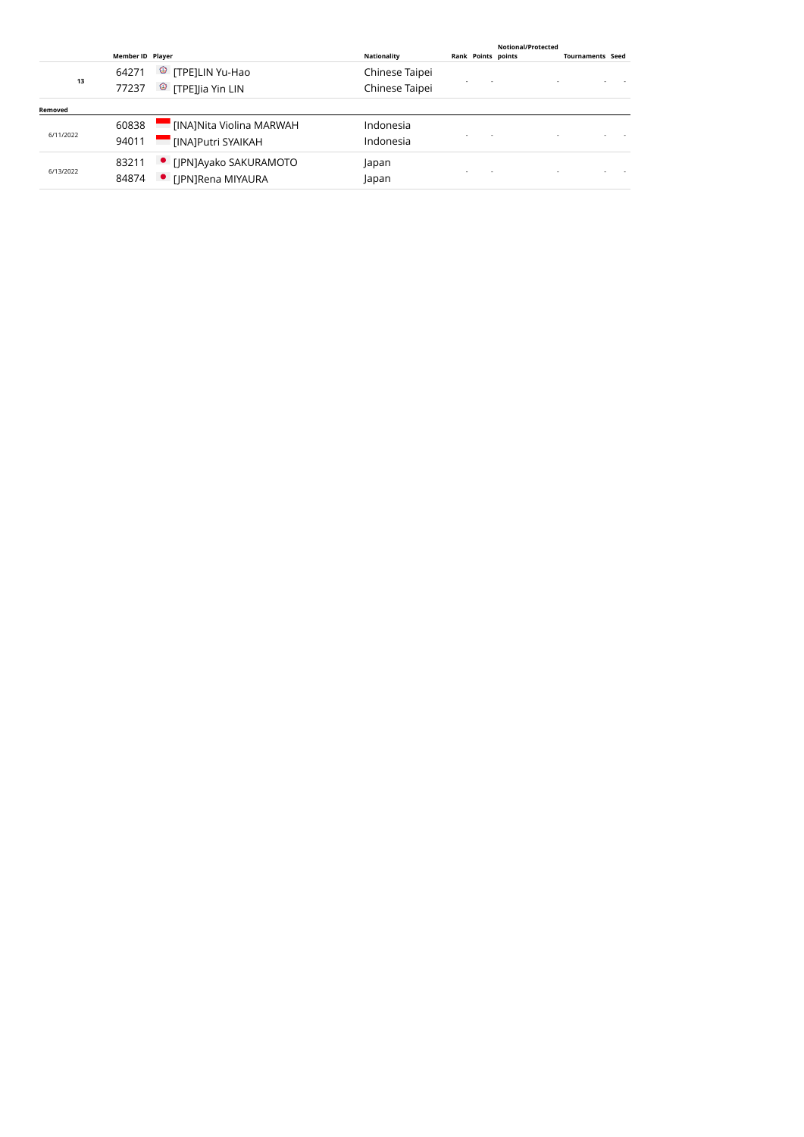|           | <b>Member ID Player</b> |                                                          | Nationality                      | Notional/Protected<br><b>Rank Points points</b> | <b>Tournaments Seed</b> |  |
|-----------|-------------------------|----------------------------------------------------------|----------------------------------|-------------------------------------------------|-------------------------|--|
| 13        | 64271<br>77237          | <sup>©</sup> [TPE]LIN Yu-Hao<br>$\circ$ [TPE]Jia Yin LIN | Chinese Taipei<br>Chinese Taipei |                                                 |                         |  |
| Removed   |                         |                                                          |                                  |                                                 |                         |  |
| 6/11/2022 | 60838<br>94011          | [INA]Nita Violina MARWAH<br>[INA]Putri SYAIKAH           | Indonesia<br>Indonesia           |                                                 |                         |  |
| 6/13/2022 | 83211<br>84874          | • [JPN]Ayako SAKURAMOTO<br>• [IPN]Rena MIYAURA           | Japan<br>Japan                   |                                                 |                         |  |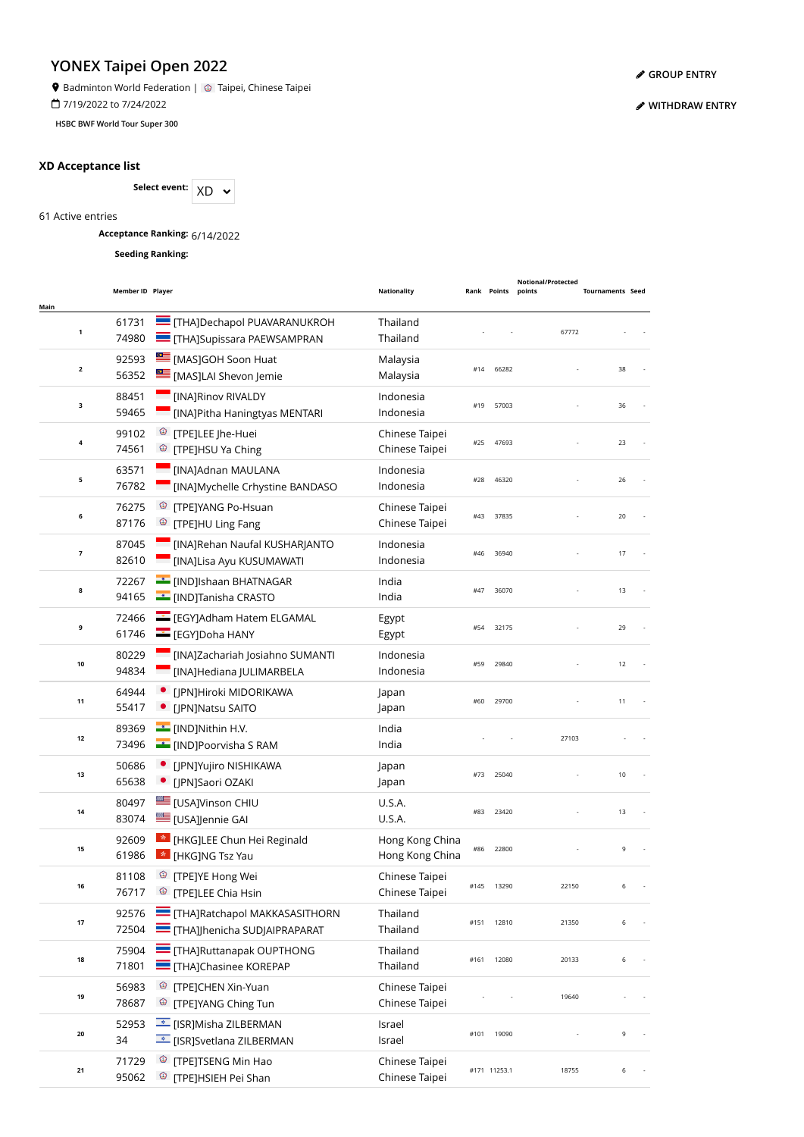**9** Badminton World Federation | @ Taipei, Chinese Taipei

7/19/2022 to 7/24/2022

**HSBC BWF World Tour Super 300**

### **XD Acceptance list**



61 Active entries

**Acceptance Ranking:** 6/14/2022

**Seeding Ranking:**

|                     | Member ID Player |                                                                              | <b>Nationality</b>                 |      | Rank Points  | Notional/Protected<br>points | <b>Tournaments Seed</b> |  |
|---------------------|------------------|------------------------------------------------------------------------------|------------------------------------|------|--------------|------------------------------|-------------------------|--|
| Main<br>$\mathbf 1$ | 61731<br>74980   | <b>THAJDechapol PUAVARANUKROH</b><br><b>THA]Supissara PAEWSAMPRAN</b>        | Thailand<br>Thailand               |      |              | 67772                        |                         |  |
| $\mathbf 2$         | 92593<br>56352   | [MAS]GOH Soon Huat<br>[MAS]LAI Shevon Jemie                                  | Malaysia<br>Malaysia               | #14  | 66282        |                              | 38                      |  |
| 3                   | 88451<br>59465   | [INA]Rinov RIVALDY<br>[INA]Pitha Haningtyas MENTARI                          | Indonesia<br>Indonesia             | #19  | 57003        |                              | 36                      |  |
| 4                   | 99102<br>74561   | <sup>©</sup> [TPE]LEE Jhe-Huei<br><sup>©</sup> [TPE]HSU Ya Ching             | Chinese Taipei<br>Chinese Taipei   | #25  | 47693        |                              | 23                      |  |
| 5                   | 63571<br>76782   | [INA]Adnan MAULANA<br>[INA]Mychelle Crhystine BANDASO                        | Indonesia<br>Indonesia             | #28  | 46320        |                              | 26                      |  |
| 6                   | 76275<br>87176   | <sup>3</sup> [TPE]YANG Po-Hsuan<br><sup><sup>3</sup> [TPE]HU Ling Fang</sup> | Chinese Taipei<br>Chinese Taipei   | #43  | 37835        |                              | 20                      |  |
| $\overline{7}$      | 87045<br>82610   | [INA]Rehan Naufal KUSHARJANTO<br>[INA]Lisa Ayu KUSUMAWATI                    | Indonesia<br>Indonesia             | #46  | 36940        |                              | 17                      |  |
| 8                   | 72267<br>94165   | <b>E</b> [IND]Ishaan BHATNAGAR<br><b>I</b> IND]Tanisha CRASTO                | India<br>India                     | #47  | 36070        |                              | 13                      |  |
| 9                   | 72466<br>61746   | EGY]Adham Hatem ELGAMAL<br>EGY]Doha HANY                                     | Egypt<br>Egypt                     | #54  | 32175        |                              | 29                      |  |
| 10                  | 80229<br>94834   | [INA]Zachariah Josiahno SUMANTI<br>[INA]Hediana JULIMARBELA                  | Indonesia<br>Indonesia             | #59  | 29840        |                              | 12                      |  |
| 11                  | 64944<br>55417   | · [JPN]Hiroki MIDORIKAWA<br>• [JPN]Natsu SAITO                               | Japan<br>Japan                     | #60  | 29700        |                              | 11                      |  |
| 12                  | 89369<br>73496   | IND]Nithin H.V.<br><b>F</b> [IND]Poorvisha S RAM                             | India<br>India                     |      |              | 27103                        |                         |  |
| 13                  | 50686<br>65638   | · [JPN]Yujiro NISHIKAWA<br>• [JPN]Saori OZAKI                                | Japan<br>Japan                     | #73  | 25040        |                              | 10                      |  |
| 14                  | 80497<br>83074   | E [USA]Vinson CHIU<br>[USA]Jennie GAI                                        | U.S.A.<br>U.S.A.                   | #83  | 23420        |                              | 13                      |  |
| 15                  | 92609<br>61986   | * [HKG]LEE Chun Hei Reginald<br><b>*</b> [HKG]NG Tsz Yau                     | Hong Kong China<br>Hong Kong China | #86  | 22800        |                              | 9                       |  |
| 16                  | 81108<br>76717   | <sup>©</sup> [TPE]YE Hong Wei<br><sup>©</sup> [TPE]LEE Chia Hsin             | Chinese Taipei<br>Chinese Taipei   | #145 | 13290        | 22150                        | 6                       |  |
| $17\,$              | 92576<br>72504   | <b>THAJRatchapol MAKKASASITHORN</b><br><b>THAJIhenicha SUDJAIPRAPARAT</b>    | Thailand<br>Thailand               | #151 | 12810        | 21350                        | 6                       |  |
| 18                  | 75904<br>71801   | <b>THAJRuttanapak OUPTHONG</b><br><b>THAJChasinee KOREPAP</b>                | Thailand<br>Thailand               | #161 | 12080        | 20133                        | 6                       |  |
| 19                  | 56983<br>78687   | <sup>©</sup> [TPE]CHEN Xin-Yuan<br><sup>3</sup> [TPE]YANG Ching Tun          | Chinese Taipei<br>Chinese Taipei   |      |              | 19640                        |                         |  |
| 20                  | 52953<br>34      | <b>Example 15 [ISR]Misha ZILBERMAN</b><br>E [ISR]Svetlana ZILBERMAN          | Israel<br>Israel                   | #101 | 19090        |                              | 9                       |  |
| 21                  | 71729<br>95062   | <sup>©</sup> [TPE]TSENG Min Hao<br><sup>®</sup> [TPE]HSIEH Pei Shan          | Chinese Taipei<br>Chinese Taipei   |      | #171 11253.1 | 18755                        | 6                       |  |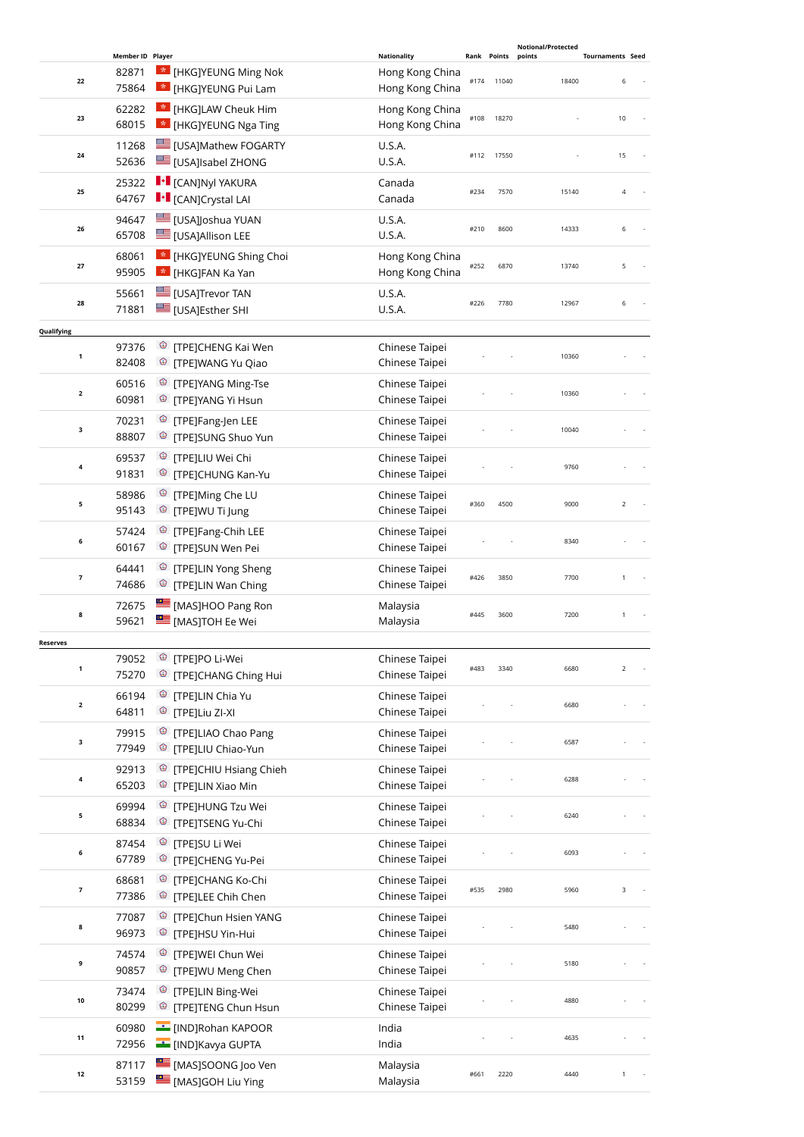|                         |                                    |                                                                                |                                                          |                     |       | <b>Notional/Protected</b> |                              |
|-------------------------|------------------------------------|--------------------------------------------------------------------------------|----------------------------------------------------------|---------------------|-------|---------------------------|------------------------------|
| 22                      | Member ID Player<br>82871<br>75864 | <b>*</b> [HKG]YEUNG Ming Nok<br><b>*</b> [HKG]YEUNG Pui Lam                    | <b>Nationality</b><br>Hong Kong China<br>Hong Kong China | Rank Points<br>#174 | 11040 | points<br>18400           | <b>Tournaments Seed</b><br>6 |
| 23                      | 62282<br>68015                     | * [HKG]LAW Cheuk Him<br>* [HKG]YEUNG Nga Ting                                  | Hong Kong China<br>Hong Kong China                       | #108                | 18270 |                           | 10                           |
| 24                      | 11268<br>52636                     | <b>LE [USA]Mathew FOGARTY</b><br><b>LE [USA]Isabel ZHONG</b>                   | U.S.A.<br>U.S.A.                                         | #112                | 17550 |                           | 15                           |
| 25                      | 25322<br>64767                     | $\left\  \cdot \right\ $ [CAN]Nyl YAKURA<br><b>I</b> • [CAN]Crystal LAI        | Canada<br>Canada                                         | #234                | 7570  | 15140                     | $\overline{4}$               |
| 26                      | 94647<br>65708                     | <b>LE [USA]Joshua YUAN</b><br>[USA]Allison LEE                                 | U.S.A.<br>U.S.A.                                         | #210                | 8600  | 14333                     | 6                            |
| 27                      | 68061<br>95905                     | * [HKG]YEUNG Shing Choi<br><b>*</b> [HKG]FAN Ka Yan                            | Hong Kong China<br>Hong Kong China                       | #252                | 6870  | 13740                     | 5                            |
| 28                      | 55661<br>71881                     | [USA]Trevor TAN<br>[USA]Esther SHI                                             | U.S.A.<br>U.S.A.                                         | #226                | 7780  | 12967                     | 6                            |
|                         |                                    |                                                                                |                                                          |                     |       |                           |                              |
| Qualifying              | 97376                              | <sup>©</sup> [TPE]CHENG Kai Wen                                                | Chinese Taipei                                           |                     |       |                           |                              |
| $\mathbf{1}$            | 82408                              | <sup>®</sup> [TPE]WANG Yu Qiao                                                 | Chinese Taipei                                           |                     |       | 10360                     |                              |
|                         | 60516                              | <sup>©</sup> [TPE]YANG Ming-Tse                                                |                                                          |                     |       |                           |                              |
| $\mathbf 2$             | 60981                              | <sup>3</sup> [TPE]YANG Yi Hsun                                                 | Chinese Taipei<br>Chinese Taipei                         |                     |       | 10360                     |                              |
|                         |                                    |                                                                                |                                                          |                     |       |                           |                              |
| з                       | 70231<br>88807                     | <sup>3</sup> [TPE]Fang-Jen LEE<br><sup><sup>®</sup> [TPE]SUNG Shuo Yun</sup>   | Chinese Taipei<br>Chinese Taipei                         |                     |       | 10040                     |                              |
| 4                       | 69537                              | <sup>©</sup> [TPE]LIU Wei Chi                                                  | Chinese Taipei                                           |                     |       | 9760                      |                              |
|                         | 91831                              | <sup><sup>3</sup> [TPE]CHUNG Kan-Yu</sup>                                      | Chinese Taipei                                           |                     |       |                           |                              |
| 5                       | 58986<br>95143                     | <sup>©</sup> [TPE]Ming Che LU<br><sup><sup>3</sup> [TPE]WU Ti Jung</sup>       | Chinese Taipei<br>Chinese Taipei                         | #360                | 4500  | 9000                      | $\overline{2}$               |
| 6                       | 57424<br>60167                     | <sup>©</sup> [TPE]Fang-Chih LEE<br><sup>®</sup> [TPE]SUN Wen Pei               | Chinese Taipei<br>Chinese Taipei                         |                     |       | 8340                      |                              |
| 7                       | 64441<br>74686                     | <sup>©</sup> [TPE]LIN Yong Sheng<br><sup><sup>3</sup> [TPE]LIN Wan Ching</sup> | Chinese Taipei<br>Chinese Taipei                         | #426                | 3850  | 7700                      | 1                            |
| 8                       | 72675<br>59621                     | [MAS]HOO Pang Ron<br>[MAS]TOH Ee Wei                                           | Malaysia<br>Malaysia                                     | #445                | 3600  | 7200                      | $\mathbf{1}$                 |
|                         |                                    |                                                                                |                                                          |                     |       |                           |                              |
| <b>Reserves</b>         | 79052                              | <sup>®</sup> [TPE]PO Li-Wei                                                    | Chinese Taipei                                           |                     |       |                           |                              |
| 1                       | 75270                              | <sup>©</sup> [TPE]CHANG Ching Hui                                              | Chinese Taipei                                           | #483                | 3340  | 6680                      | $\overline{2}$               |
|                         | 66194                              | <sup><sup>3</sup> [TPE]LIN Chia Yu</sup>                                       | Chinese Taipei                                           |                     |       |                           |                              |
| $\overline{\mathbf{2}}$ | 64811                              | <sup>©</sup> [TPE]Liu ZI-XI                                                    | Chinese Taipei                                           |                     |       | 6680                      |                              |
|                         | 79915                              | <sup>3</sup> [TPE]LIAO Chao Pang                                               | Chinese Taipei                                           |                     |       |                           |                              |
| 3                       | 77949                              | <sup>©</sup> [TPE]LIU Chiao-Yun                                                | Chinese Taipei                                           |                     |       | 6587                      |                              |
|                         | 92913                              | <sup>3</sup> [TPE]CHIU Hsiang Chieh                                            | Chinese Taipei                                           |                     |       |                           |                              |
| 4                       | 65203                              | <sup>©</sup> [TPE]LIN Xiao Min                                                 | Chinese Taipei                                           |                     |       | 6288                      |                              |
|                         | 69994                              | <sup><sup>3</sup> [TPE]HUNG Tzu Wei</sup>                                      | Chinese Taipei                                           |                     |       |                           |                              |
| 5                       | 68834                              | <sup>©</sup> [TPE]TSENG Yu-Chi                                                 | Chinese Taipei                                           |                     |       | 6240                      |                              |
| 6                       | 87454                              | <sup>®</sup> [TPE]SU Li Wei                                                    | Chinese Taipei                                           |                     |       | 6093                      |                              |
|                         | 67789                              | <sup>®</sup> [TPE]CHENG Yu-Pei                                                 | Chinese Taipei                                           |                     |       |                           |                              |
| $\overline{\textbf{7}}$ | 68681<br>77386                     | <sup>3</sup> [TPE]CHANG Ko-Chi<br><sup>©</sup> [TPE]LEE Chih Chen              | Chinese Taipei<br>Chinese Taipei                         | #535                | 2980  | 5960                      | 3                            |
| 8                       | 77087<br>96973                     | <sup>3</sup> [TPE]Chun Hsien YANG<br><sup>©</sup> [TPE]HSU Yin-Hui             | Chinese Taipei<br>Chinese Taipei                         |                     |       | 5480                      |                              |
| 9                       | 74574                              | <sup>©</sup> [TPE]WEI Chun Wei                                                 | Chinese Taipei                                           |                     |       | 5180                      |                              |
|                         | 90857                              | <sup>©</sup> [TPE]WU Meng Chen                                                 | Chinese Taipei                                           |                     |       |                           |                              |
| 10                      | 73474<br>80299                     | <sup>1</sup> [TPE]LIN Bing-Wei<br><sup>3</sup> [TPE]TENG Chun Hsun             | Chinese Taipei<br>Chinese Taipei                         |                     |       | 4880                      |                              |
|                         | 60980                              | <b>EDIROPHIA COOR</b>                                                          | India                                                    |                     |       |                           |                              |
| 11                      | 72956                              | <b>E</b> [IND]Kavya GUPTA                                                      | India                                                    |                     |       | 4635                      |                              |
|                         | 87117                              | MASJSOONG Joo Ven                                                              | Malaysia                                                 |                     |       |                           |                              |
| $12$                    | 53159                              | [MAS]GOH Liu Ying                                                              | Malaysia                                                 | #661                | 2220  | 4440                      | 1                            |